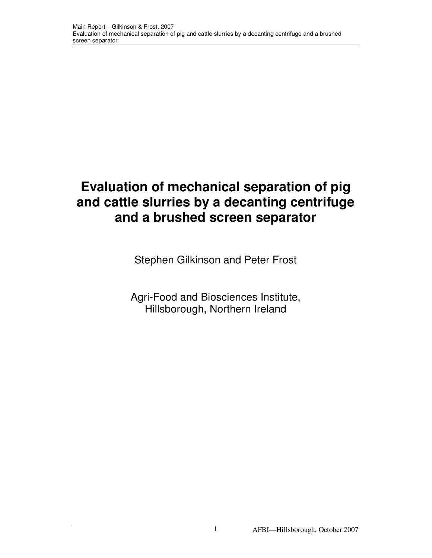# **Evaluation of mechanical separation of pig and cattle slurries by a decanting centrifuge and a brushed screen separator**

Stephen Gilkinson and Peter Frost

Agri-Food and Biosciences Institute, Hillsborough, Northern Ireland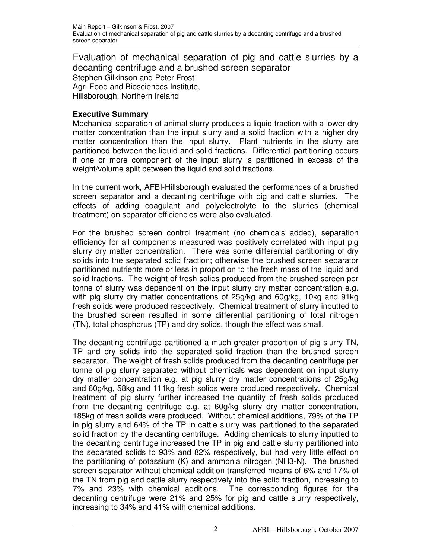Evaluation of mechanical separation of pig and cattle slurries by a decanting centrifuge and a brushed screen separator Stephen Gilkinson and Peter Frost Agri-Food and Biosciences Institute, Hillsborough, Northern Ireland

# **Executive Summary**

Mechanical separation of animal slurry produces a liquid fraction with a lower dry matter concentration than the input slurry and a solid fraction with a higher dry matter concentration than the input slurry. Plant nutrients in the slurry are partitioned between the liquid and solid fractions. Differential partitioning occurs if one or more component of the input slurry is partitioned in excess of the weight/volume split between the liquid and solid fractions.

In the current work, AFBI-Hillsborough evaluated the performances of a brushed screen separator and a decanting centrifuge with pig and cattle slurries. The effects of adding coagulant and polyelectrolyte to the slurries (chemical treatment) on separator efficiencies were also evaluated.

For the brushed screen control treatment (no chemicals added), separation efficiency for all components measured was positively correlated with input pig slurry dry matter concentration. There was some differential partitioning of dry solids into the separated solid fraction; otherwise the brushed screen separator partitioned nutrients more or less in proportion to the fresh mass of the liquid and solid fractions. The weight of fresh solids produced from the brushed screen per tonne of slurry was dependent on the input slurry dry matter concentration e.g. with pig slurry dry matter concentrations of 25g/kg and 60g/kg, 10kg and 91kg fresh solids were produced respectively. Chemical treatment of slurry inputted to the brushed screen resulted in some differential partitioning of total nitrogen (TN), total phosphorus (TP) and dry solids, though the effect was small.

The decanting centrifuge partitioned a much greater proportion of pig slurry TN, TP and dry solids into the separated solid fraction than the brushed screen separator. The weight of fresh solids produced from the decanting centrifuge per tonne of pig slurry separated without chemicals was dependent on input slurry dry matter concentration e.g. at pig slurry dry matter concentrations of 25g/kg and 60g/kg, 58kg and 111kg fresh solids were produced respectively. Chemical treatment of pig slurry further increased the quantity of fresh solids produced from the decanting centrifuge e.g. at 60g/kg slurry dry matter concentration, 185kg of fresh solids were produced. Without chemical additions, 79% of the TP in pig slurry and 64% of the TP in cattle slurry was partitioned to the separated solid fraction by the decanting centrifuge. Adding chemicals to slurry inputted to the decanting centrifuge increased the TP in pig and cattle slurry partitioned into the separated solids to 93% and 82% respectively, but had very little effect on the partitioning of potassium (K) and ammonia nitrogen (NH3-N). The brushed screen separator without chemical addition transferred means of 6% and 17% of the TN from pig and cattle slurry respectively into the solid fraction, increasing to 7% and 23% with chemical additions. The corresponding figures for the decanting centrifuge were 21% and 25% for pig and cattle slurry respectively, increasing to 34% and 41% with chemical additions.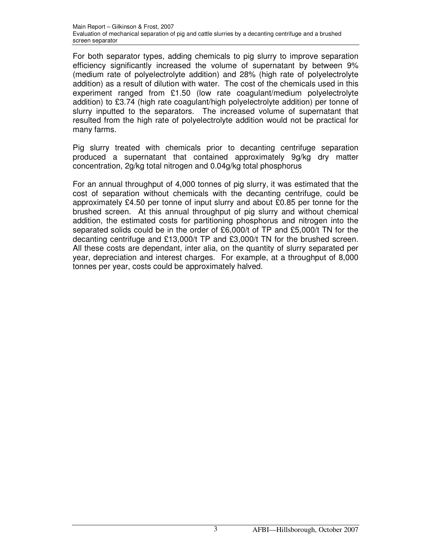For both separator types, adding chemicals to pig slurry to improve separation efficiency significantly increased the volume of supernatant by between 9% (medium rate of polyelectrolyte addition) and 28% (high rate of polyelectrolyte addition) as a result of dilution with water. The cost of the chemicals used in this experiment ranged from £1.50 (low rate coagulant/medium polyelectrolyte addition) to £3.74 (high rate coagulant/high polyelectrolyte addition) per tonne of slurry inputted to the separators. The increased volume of supernatant that resulted from the high rate of polyelectrolyte addition would not be practical for many farms.

Pig slurry treated with chemicals prior to decanting centrifuge separation produced a supernatant that contained approximately 9g/kg dry matter concentration, 2g/kg total nitrogen and 0.04g/kg total phosphorus

For an annual throughput of 4,000 tonnes of pig slurry, it was estimated that the cost of separation without chemicals with the decanting centrifuge, could be approximately £4.50 per tonne of input slurry and about £0.85 per tonne for the brushed screen. At this annual throughput of pig slurry and without chemical addition, the estimated costs for partitioning phosphorus and nitrogen into the separated solids could be in the order of £6,000/t of TP and £5,000/t TN for the decanting centrifuge and £13,000/t TP and £3,000/t TN for the brushed screen. All these costs are dependant, inter alia, on the quantity of slurry separated per year, depreciation and interest charges. For example, at a throughput of 8,000 tonnes per year, costs could be approximately halved.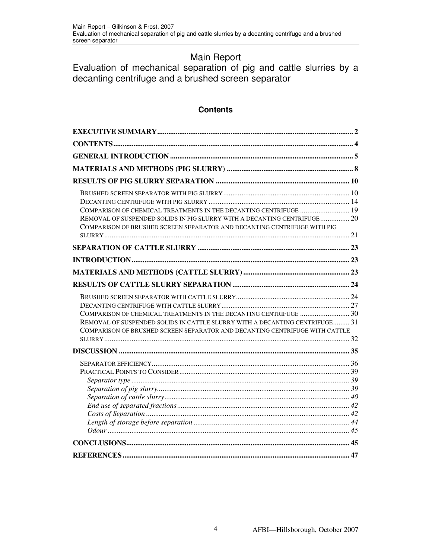# Main Report

Evaluation of mechanical separation of pig and cattle slurries by a decanting centrifuge and a brushed screen separator

# **Contents**

| COMPARISON OF CHEMICAL TREATMENTS IN THE DECANTING CENTRIFUGE  19<br>REMOVAL OF SUSPENDED SOLIDS IN PIG SLURRY WITH A DECANTING CENTRIFUGE 20<br>COMPARISON OF BRUSHED SCREEN SEPARATOR AND DECANTING CENTRIFUGE WITH PIG       |  |
|---------------------------------------------------------------------------------------------------------------------------------------------------------------------------------------------------------------------------------|--|
|                                                                                                                                                                                                                                 |  |
|                                                                                                                                                                                                                                 |  |
|                                                                                                                                                                                                                                 |  |
|                                                                                                                                                                                                                                 |  |
|                                                                                                                                                                                                                                 |  |
| COMPARISON OF CHEMICAL TREATMENTS IN THE DECANTING CENTRIFUGE  30<br>REMOVAL OF SUSPENDED SOLIDS IN CATTLE SLURRY WITH A DECANTING CENTRIFUGE 31<br>COMPARISON OF BRUSHED SCREEN SEPARATOR AND DECANTING CENTRIFUGE WITH CATTLE |  |
|                                                                                                                                                                                                                                 |  |
|                                                                                                                                                                                                                                 |  |
|                                                                                                                                                                                                                                 |  |
|                                                                                                                                                                                                                                 |  |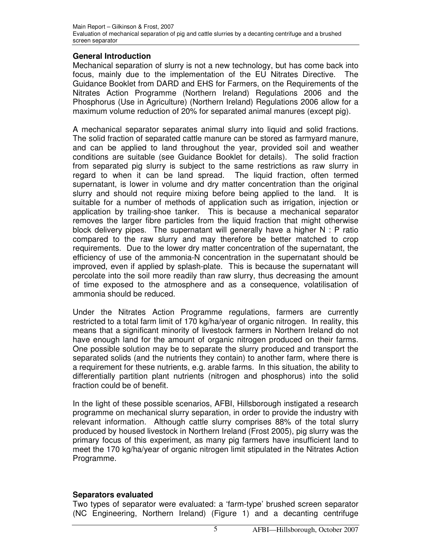# **General Introduction**

Mechanical separation of slurry is not a new technology, but has come back into focus, mainly due to the implementation of the EU Nitrates Directive. The Guidance Booklet from DARD and EHS for Farmers, on the Requirements of the Nitrates Action Programme (Northern Ireland) Regulations 2006 and the Phosphorus (Use in Agriculture) (Northern Ireland) Regulations 2006 allow for a maximum volume reduction of 20% for separated animal manures (except pig).

A mechanical separator separates animal slurry into liquid and solid fractions. The solid fraction of separated cattle manure can be stored as farmyard manure, and can be applied to land throughout the year, provided soil and weather conditions are suitable (see Guidance Booklet for details). The solid fraction from separated pig slurry is subject to the same restrictions as raw slurry in regard to when it can be land spread. The liquid fraction, often termed supernatant, is lower in volume and dry matter concentration than the original slurry and should not require mixing before being applied to the land. It is suitable for a number of methods of application such as irrigation, injection or application by trailing-shoe tanker. This is because a mechanical separator removes the larger fibre particles from the liquid fraction that might otherwise block delivery pipes. The supernatant will generally have a higher N : P ratio compared to the raw slurry and may therefore be better matched to crop requirements. Due to the lower dry matter concentration of the supernatant, the efficiency of use of the ammonia-N concentration in the supernatant should be improved, even if applied by splash-plate. This is because the supernatant will percolate into the soil more readily than raw slurry, thus decreasing the amount of time exposed to the atmosphere and as a consequence, volatilisation of ammonia should be reduced.

Under the Nitrates Action Programme regulations, farmers are currently restricted to a total farm limit of 170 kg/ha/year of organic nitrogen. In reality, this means that a significant minority of livestock farmers in Northern Ireland do not have enough land for the amount of organic nitrogen produced on their farms. One possible solution may be to separate the slurry produced and transport the separated solids (and the nutrients they contain) to another farm, where there is a requirement for these nutrients, e.g. arable farms. In this situation, the ability to differentially partition plant nutrients (nitrogen and phosphorus) into the solid fraction could be of benefit.

In the light of these possible scenarios, AFBI, Hillsborough instigated a research programme on mechanical slurry separation, in order to provide the industry with relevant information. Although cattle slurry comprises 88% of the total slurry produced by housed livestock in Northern Ireland (Frost 2005), pig slurry was the primary focus of this experiment, as many pig farmers have insufficient land to meet the 170 kg/ha/year of organic nitrogen limit stipulated in the Nitrates Action Programme.

## **Separators evaluated**

Two types of separator were evaluated: a 'farm-type' brushed screen separator (NC Engineering, Northern Ireland) (Figure 1) and a decanting centrifuge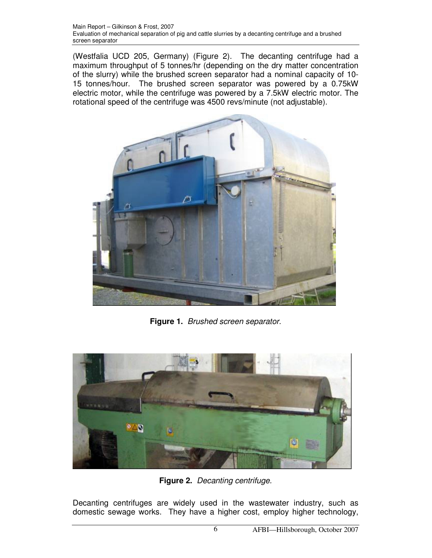(Westfalia UCD 205, Germany) (Figure 2). The decanting centrifuge had a maximum throughput of 5 tonnes/hr (depending on the dry matter concentration of the slurry) while the brushed screen separator had a nominal capacity of 10- 15 tonnes/hour. The brushed screen separator was powered by a 0.75kW electric motor, while the centrifuge was powered by a 7.5kW electric motor. The rotational speed of the centrifuge was 4500 revs/minute (not adjustable).



**Figure 1.** Brushed screen separator.



**Figure 2.** Decanting centrifuge.

Decanting centrifuges are widely used in the wastewater industry, such as domestic sewage works. They have a higher cost, employ higher technology,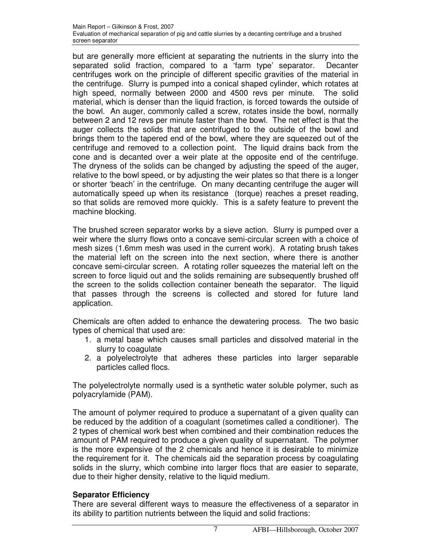but are generally more efficient at separating the nutrients in the slurry into the separated solid fraction, compared to a 'farm type' separator. Decanter centrifuges work on the principle of different specific gravities of the material in the centrifuge. Slurry is pumped into a conical shaped cylinder, which rotates at high speed, normally between 2000 and 4500 revs per minute. The solid material, which is denser than the liquid fraction, is forced towards the outside of the bowl. An auger, commonly called a screw, rotates inside the bowl, normally between 2 and 12 revs per minute faster than the bowl. The net effect is that the auger collects the solids that are centrifuged to the outside of the bowl and brings them to the tapered end of the bowl, where they are squeezed out of the centrifuge and removed to a collection point. The liquid drains back from the cone and is decanted over a weir plate at the opposite end of the centrifuge. The dryness of the solids can be changed by adjusting the speed of the auger, relative to the bowl speed, or by adjusting the weir plates so that there is a longer or shorter 'beach' in the centrifuge. On many decanting centrifuge the auger will automatically speed up when its resistance (torque) reaches a preset reading, so that solids are removed more quickly. This is a safety feature to prevent the machine blocking.

The brushed screen separator works by a sieve action. Slurry is pumped over a weir where the slurry flows onto a concave semi-circular screen with a choice of mesh sizes (1.6mm mesh was used in the current work). A rotating brush takes the material left on the screen into the next section, where there is another concave semi-circular screen. A rotating roller squeezes the material left on the screen to force liquid out and the solids remaining are subsequently brushed off the screen to the solids collection container beneath the separator. The liquid that passes through the screens is collected and stored for future land application.

Chemicals are often added to enhance the dewatering process. The two basic types of chemical that used are:

- 1. a metal base which causes small particles and dissolved material in the slurry to coagulate
- 2. a polyelectrolyte that adheres these particles into larger separable particles called flocs.

The polyelectrolyte normally used is a synthetic water soluble polymer, such as polyacrylamide (PAM).

The amount of polymer required to produce a supernatant of a given quality can be reduced by the addition of a coagulant (sometimes called a conditioner). The 2 types of chemical work best when combined and their combination reduces the amount of PAM required to produce a given quality of supernatant. The polymer is the more expensive of the 2 chemicals and hence it is desirable to minimize the requirement for it. The chemicals aid the separation process by coagulating solids in the slurry, which combine into larger flocs that are easier to separate, due to their higher density, relative to the liquid medium.

## **Separator Efficiency**

There are several different ways to measure the effectiveness of a separator in its ability to partition nutrients between the liquid and solid fractions: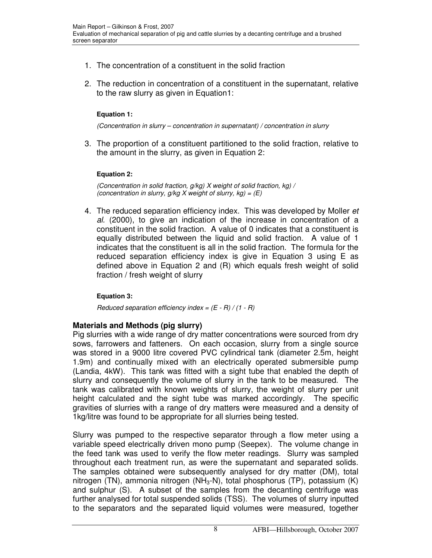- 1. The concentration of a constituent in the solid fraction
- 2. The reduction in concentration of a constituent in the supernatant, relative to the raw slurry as given in Equation1:

## **Equation 1:**

(Concentration in slurry – concentration in supernatant) / concentration in slurry

3. The proportion of a constituent partitioned to the solid fraction, relative to the amount in the slurry, as given in Equation 2:

## **Equation 2:**

(Concentration in solid fraction, g/kg) X weight of solid fraction, kg) / (concentration in slurry,  $g/kg$  X weight of slurry,  $kg$ ) =  $(E)$ 

4. The reduced separation efficiency index. This was developed by Moller et al. (2000), to give an indication of the increase in concentration of a constituent in the solid fraction. A value of 0 indicates that a constituent is equally distributed between the liquid and solid fraction. A value of 1 indicates that the constituent is all in the solid fraction. The formula for the reduced separation efficiency index is give in Equation 3 using E as defined above in Equation 2 and (R) which equals fresh weight of solid fraction / fresh weight of slurry

## **Equation 3:**

Reduced separation efficiency index =  $(E - R) / (1 - R)$ 

# **Materials and Methods (pig slurry)**

Pig slurries with a wide range of dry matter concentrations were sourced from dry sows, farrowers and fatteners. On each occasion, slurry from a single source was stored in a 9000 litre covered PVC cylindrical tank (diameter 2.5m, height 1.9m) and continually mixed with an electrically operated submersible pump (Landia, 4kW). This tank was fitted with a sight tube that enabled the depth of slurry and consequently the volume of slurry in the tank to be measured. The tank was calibrated with known weights of slurry, the weight of slurry per unit height calculated and the sight tube was marked accordingly. The specific gravities of slurries with a range of dry matters were measured and a density of 1kg/litre was found to be appropriate for all slurries being tested.

Slurry was pumped to the respective separator through a flow meter using a variable speed electrically driven mono pump (Seepex). The volume change in the feed tank was used to verify the flow meter readings. Slurry was sampled throughout each treatment run, as were the supernatant and separated solids. The samples obtained were subsequently analysed for dry matter (DM), total nitrogen (TN), ammonia nitrogen (NH<sub>3</sub>-N), total phosphorus (TP), potassium (K) and sulphur (S). A subset of the samples from the decanting centrifuge was further analysed for total suspended solids (TSS). The volumes of slurry inputted to the separators and the separated liquid volumes were measured, together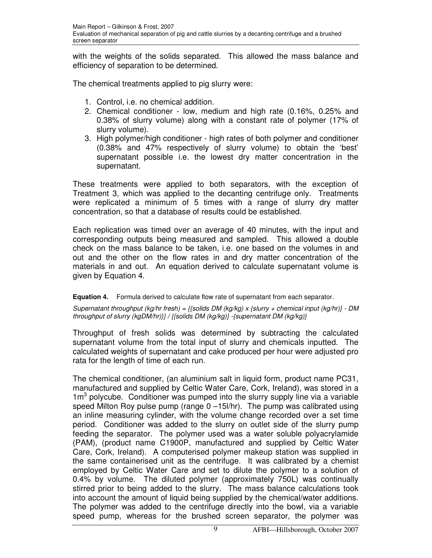with the weights of the solids separated. This allowed the mass balance and efficiency of separation to be determined.

The chemical treatments applied to pig slurry were:

- 1. Control, i.e. no chemical addition.
- 2. Chemical conditioner low, medium and high rate (0.16%, 0.25% and 0.38% of slurry volume) along with a constant rate of polymer (17% of slurry volume).
- 3. High polymer/high conditioner high rates of both polymer and conditioner (0.38% and 47% respectively of slurry volume) to obtain the 'best' supernatant possible i.e. the lowest dry matter concentration in the supernatant.

These treatments were applied to both separators, with the exception of Treatment 3, which was applied to the decanting centrifuge only. Treatments were replicated a minimum of 5 times with a range of slurry dry matter concentration, so that a database of results could be established.

Each replication was timed over an average of 40 minutes, with the input and corresponding outputs being measured and sampled. This allowed a double check on the mass balance to be taken, i.e. one based on the volumes in and out and the other on the flow rates in and dry matter concentration of the materials in and out. An equation derived to calculate supernatant volume is given by Equation 4.

## **Equation 4.** Formula derived to calculate flow rate of supernatant from each separator.

Supernatant throughput (kg/hr fresh) = {{solids DM (kg/kg) x {slurry + chemical input (kg/hr)} - DM throughput of slurry (kgDM/hr)}} / {{solids DM (kg/kg)} -{supernatant DM (kg/kg)}

Throughput of fresh solids was determined by subtracting the calculated supernatant volume from the total input of slurry and chemicals inputted. The calculated weights of supernatant and cake produced per hour were adjusted pro rata for the length of time of each run.

The chemical conditioner, (an aluminium salt in liquid form, product name PC31, manufactured and supplied by Celtic Water Care, Cork, Ireland), was stored in a 1m<sup>3</sup> polycube. Conditioner was pumped into the slurry supply line via a variable speed Milton Roy pulse pump (range 0 –15l/hr). The pump was calibrated using an inline measuring cylinder, with the volume change recorded over a set time period. Conditioner was added to the slurry on outlet side of the slurry pump feeding the separator. The polymer used was a water soluble polyacrylamide (PAM), (product name C1900P, manufactured and supplied by Celtic Water Care, Cork, Ireland). A computerised polymer makeup station was supplied in the same containerised unit as the centrifuge. It was calibrated by a chemist employed by Celtic Water Care and set to dilute the polymer to a solution of 0.4% by volume. The diluted polymer (approximately 750L) was continually stirred prior to being added to the slurry. The mass balance calculations took into account the amount of liquid being supplied by the chemical/water additions. The polymer was added to the centrifuge directly into the bowl, via a variable speed pump, whereas for the brushed screen separator, the polymer was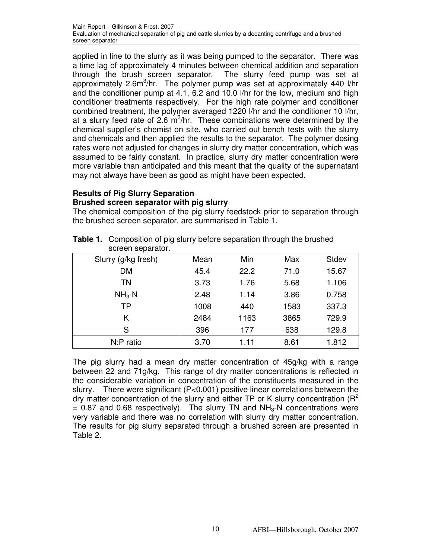applied in line to the slurry as it was being pumped to the separator. There was a time lag of approximately 4 minutes between chemical addition and separation through the brush screen separator. The slurry feed pump was set at approximately 2.6m<sup>3</sup>/hr. The polymer pump was set at approximately 440 l/hr and the conditioner pump at 4.1, 6.2 and 10.0 l/hr for the low, medium and high conditioner treatments respectively. For the high rate polymer and conditioner combined treatment, the polymer averaged 1220 l/hr and the conditioner 10 l/hr, at a slurry feed rate of 2.6  $m^3$ /hr. These combinations were determined by the chemical supplier's chemist on site, who carried out bench tests with the slurry and chemicals and then applied the results to the separator. The polymer dosing rates were not adjusted for changes in slurry dry matter concentration, which was assumed to be fairly constant. In practice, slurry dry matter concentration were more variable than anticipated and this meant that the quality of the supernatant may not always have been as good as might have been expected.

#### **Results of Pig Slurry Separation Brushed screen separator with pig slurry**

The chemical composition of the pig slurry feedstock prior to separation through the brushed screen separator, are summarised in Table 1.

| screen separator.   |      |      |      |       |
|---------------------|------|------|------|-------|
| Slurry (g/kg fresh) | Mean | Min  | Max  | Stdev |
| DM                  | 45.4 | 22.2 | 71.0 | 15.67 |
| <b>TN</b>           | 3.73 | 1.76 | 5.68 | 1.106 |
| $NH3-N$             | 2.48 | 1.14 | 3.86 | 0.758 |
| <b>TP</b>           | 1008 | 440  | 1583 | 337.3 |
| K                   | 2484 | 1163 | 3865 | 729.9 |
| S                   | 396  | 177  | 638  | 129.8 |
| N:P ratio           | 3.70 | 1.11 | 8.61 | 1.812 |

| Table 1. Composition of pig slurry before separation through the brushed |
|--------------------------------------------------------------------------|
| screen separator.                                                        |

The pig slurry had a mean dry matter concentration of 45g/kg with a range between 22 and 71g/kg. This range of dry matter concentrations is reflected in the considerable variation in concentration of the constituents measured in the slurry. There were significant (P<0.001) positive linear correlations between the dry matter concentration of the slurry and either TP or K slurry concentration ( $R^2$ )  $= 0.87$  and 0.68 respectively). The slurry TN and NH<sub>3</sub>-N concentrations were very variable and there was no correlation with slurry dry matter concentration. The results for pig slurry separated through a brushed screen are presented in Table 2.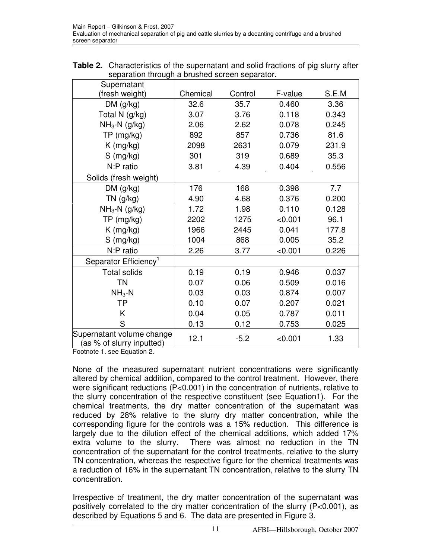| <b>Table 2.</b> Characteristics of the supernatant and solid fractions of pig slurry after |
|--------------------------------------------------------------------------------------------|
| separation through a brushed screen separator.                                             |
|                                                                                            |

| Supernatant                                            |          |         |         |       |
|--------------------------------------------------------|----------|---------|---------|-------|
| (fresh weight)                                         | Chemical | Control | F-value | S.E.M |
| DM (g/kg)                                              | 32.6     | 35.7    | 0.460   | 3.36  |
| Total N (g/kg)                                         | 3.07     | 3.76    | 0.118   | 0.343 |
| $NH3-N$ (g/kg)                                         | 2.06     | 2.62    | 0.078   | 0.245 |
| TP (mg/kg)                                             | 892      | 857     | 0.736   | 81.6  |
| $K$ (mg/kg)                                            | 2098     | 2631    | 0.079   | 231.9 |
| $S$ (mg/kg)                                            | 301      | 319     | 0.689   | 35.3  |
| N:P ratio                                              | 3.81     | 4.39    | 0.404   | 0.556 |
| Solids (fresh weight)                                  |          |         |         |       |
| DM(g/kg)                                               | 176      | 168     | 0.398   | 7.7   |
| $TN$ (g/kg)                                            | 4.90     | 4.68    | 0.376   | 0.200 |
| $NH_3-N$ (g/kg)                                        | 1.72     | 1.98    | 0.110   | 0.128 |
| $TP$ (mg/kg)                                           | 2202     | 1275    | < 0.001 | 96.1  |
| $K$ (mg/kg)                                            | 1966     | 2445    | 0.041   | 177.8 |
| $S$ (mg/kg)                                            | 1004     | 868     | 0.005   | 35.2  |
| N:P ratio                                              | 2.26     | 3.77    | < 0.001 | 0.226 |
| Separator Efficiency <sup>1</sup>                      |          |         |         |       |
| <b>Total solids</b>                                    | 0.19     | 0.19    | 0.946   | 0.037 |
| <b>TN</b>                                              | 0.07     | 0.06    | 0.509   | 0.016 |
| $NH3-N$                                                | 0.03     | 0.03    | 0.874   | 0.007 |
| <b>TP</b>                                              | 0.10     | 0.07    | 0.207   | 0.021 |
| K.                                                     | 0.04     | 0.05    | 0.787   | 0.011 |
| S                                                      | 0.13     | 0.12    | 0.753   | 0.025 |
| Supernatant volume change<br>(as % of slurry inputted) | 12.1     | $-5.2$  | < 0.001 | 1.33  |

Footnote 1. see Equation 2.

None of the measured supernatant nutrient concentrations were significantly altered by chemical addition, compared to the control treatment. However, there were significant reductions (P<0.001) in the concentration of nutrients, relative to the slurry concentration of the respective constituent (see Equation1). For the chemical treatments, the dry matter concentration of the supernatant was reduced by 28% relative to the slurry dry matter concentration, while the corresponding figure for the controls was a 15% reduction. This difference is largely due to the dilution effect of the chemical additions, which added 17% extra volume to the slurry. There was almost no reduction in the TN concentration of the supernatant for the control treatments, relative to the slurry TN concentration, whereas the respective figure for the chemical treatments was a reduction of 16% in the supernatant TN concentration, relative to the slurry TN concentration.

Irrespective of treatment, the dry matter concentration of the supernatant was positively correlated to the dry matter concentration of the slurry (P<0.001), as described by Equations 5 and 6. The data are presented in Figure 3.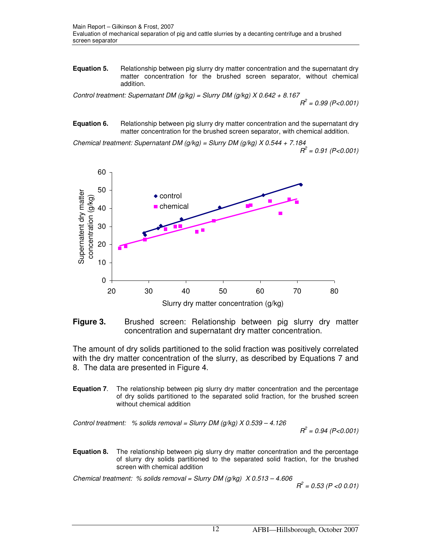**Equation 5.** Relationship between pig slurry dry matter concentration and the supernatant dry matter concentration for the brushed screen separator, without chemical addition.

Control treatment: Supernatant DM ( $g/kg$ ) = Slurry DM ( $g/kg$ ) X 0.642 + 8.167  $R^2$  = 0.99 (P<0.001)

**Equation 6.** Relationship between pig slurry dry matter concentration and the supernatant dry matter concentration for the brushed screen separator, with chemical addition.

Chemical treatment: Supernatant DM ( $g/kg$ ) = Slurry DM ( $g/kg$ ) X 0.544 + 7.184  $R^2$  = 0.91 (P<0.001)





The amount of dry solids partitioned to the solid fraction was positively correlated with the dry matter concentration of the slurry, as described by Equations 7 and 8. The data are presented in Figure 4.

**Equation 7.** The relationship between pig slurry dry matter concentration and the percentage of dry solids partitioned to the separated solid fraction, for the brushed screen without chemical addition

Control treatment: % solids removal = Slurry DM ( $g/kg$ ) X 0.539 - 4.126  $R^2$  = 0.94 (P<0.001)

**Equation 8.** The relationship between pig slurry dry matter concentration and the percentage of slurry dry solids partitioned to the separated solid fraction, for the brushed screen with chemical addition

Chemical treatment: % solids removal = Slurry DM (g/kg)  $X$  0.513 - 4.606  $R^2$  $R^2 = 0.53$  (P < 0.01)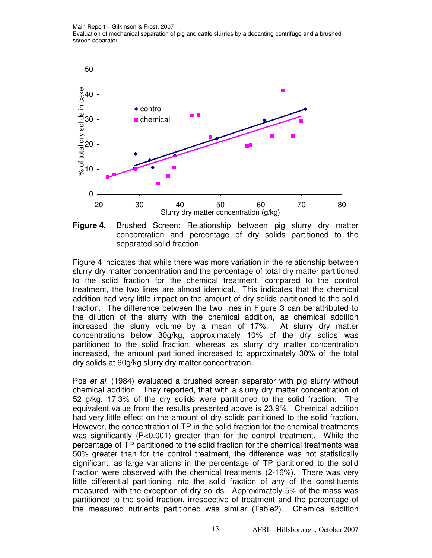

**Figure 4.** Brushed Screen: Relationship between pig slurry dry matter concentration and percentage of dry solids partitioned to the separated solid fraction.

Figure 4 indicates that while there was more variation in the relationship between slurry dry matter concentration and the percentage of total dry matter partitioned to the solid fraction for the chemical treatment, compared to the control treatment, the two lines are almost identical. This indicates that the chemical addition had very little impact on the amount of dry solids partitioned to the solid fraction. The difference between the two lines in Figure 3 can be attributed to the dilution of the slurry with the chemical addition, as chemical addition increased the slurry volume by a mean of 17%. At slurry dry matter concentrations below 30g/kg, approximately 10% of the dry solids was partitioned to the solid fraction, whereas as slurry dry matter concentration increased, the amount partitioned increased to approximately 30% of the total dry solids at 60g/kg slurry dry matter concentration.

Pos et al. (1984) evaluated a brushed screen separator with pig slurry without chemical addition. They reported, that with a slurry dry matter concentration of 52 g/kg, 17.3% of the dry solids were partitioned to the solid fraction. The equivalent value from the results presented above is 23.9%. Chemical addition had very little effect on the amount of dry solids partitioned to the solid fraction. However, the concentration of TP in the solid fraction for the chemical treatments was significantly (P<0.001) greater than for the control treatment. While the percentage of TP partitioned to the solid fraction for the chemical treatments was 50% greater than for the control treatment, the difference was not statistically significant, as large variations in the percentage of TP partitioned to the solid fraction were observed with the chemical treatments (2-16%). There was very little differential partitioning into the solid fraction of any of the constituents measured, with the exception of dry solids. Approximately 5% of the mass was partitioned to the solid fraction, irrespective of treatment and the percentage of the measured nutrients partitioned was similar (Table2). Chemical addition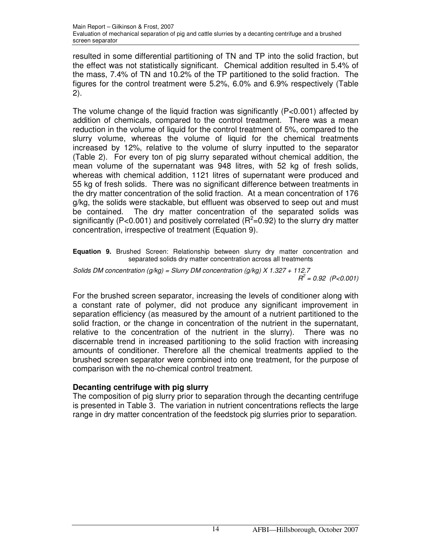resulted in some differential partitioning of TN and TP into the solid fraction, but the effect was not statistically significant. Chemical addition resulted in 5.4% of the mass, 7.4% of TN and 10.2% of the TP partitioned to the solid fraction. The figures for the control treatment were 5.2%, 6.0% and 6.9% respectively (Table 2).

The volume change of the liquid fraction was significantly (P<0.001) affected by addition of chemicals, compared to the control treatment. There was a mean reduction in the volume of liquid for the control treatment of 5%, compared to the slurry volume, whereas the volume of liquid for the chemical treatments increased by 12%, relative to the volume of slurry inputted to the separator (Table 2). For every ton of pig slurry separated without chemical addition, the mean volume of the supernatant was 948 litres, with 52 kg of fresh solids, whereas with chemical addition, 1121 litres of supernatant were produced and 55 kg of fresh solids. There was no significant difference between treatments in the dry matter concentration of the solid fraction. At a mean concentration of 176 g/kg, the solids were stackable, but effluent was observed to seep out and must be contained. The dry matter concentration of the separated solids was significantly (P<0.001) and positively correlated ( $R^2$ =0.92) to the slurry dry matter concentration, irrespective of treatment (Equation 9).

**Equation 9.** Brushed Screen: Relationship between slurry dry matter concentration and separated solids dry matter concentration across all treatments

Solids DM concentration (g/kg) = Slurry DM concentration (g/kg)  $X$  1.327 + 112.7  $R^2$  = 0.92 (P<0.001)

For the brushed screen separator, increasing the levels of conditioner along with a constant rate of polymer, did not produce any significant improvement in separation efficiency (as measured by the amount of a nutrient partitioned to the solid fraction, or the change in concentration of the nutrient in the supernatant, relative to the concentration of the nutrient in the slurry). There was no discernable trend in increased partitioning to the solid fraction with increasing amounts of conditioner. Therefore all the chemical treatments applied to the brushed screen separator were combined into one treatment, for the purpose of comparison with the no-chemical control treatment.

# **Decanting centrifuge with pig slurry**

The composition of pig slurry prior to separation through the decanting centrifuge is presented in Table 3. The variation in nutrient concentrations reflects the large range in dry matter concentration of the feedstock pig slurries prior to separation.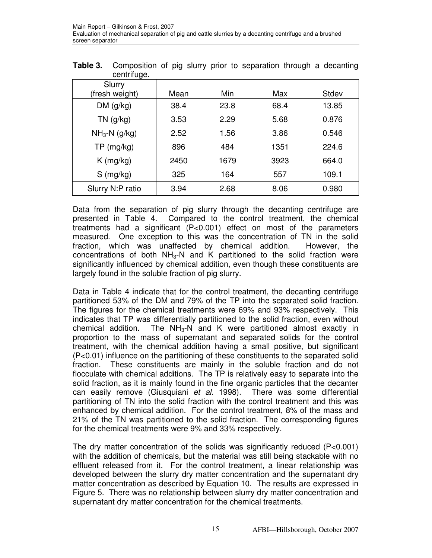| centriuge.               |      |            |      |       |
|--------------------------|------|------------|------|-------|
| Slurry<br>(fresh weight) | Mean | <b>Min</b> | Max  | Stdev |
| DM(g/kg)                 | 38.4 | 23.8       | 68.4 | 13.85 |
| $TN$ (g/kg)              | 3.53 | 2.29       | 5.68 | 0.876 |
| $NH3-N$ (g/kg)           | 2.52 | 1.56       | 3.86 | 0.546 |
| $TP$ (mg/kg)             | 896  | 484        | 1351 | 224.6 |
| $K$ (mg/kg)              | 2450 | 1679       | 3923 | 664.0 |
| $S$ (mg/kg)              | 325  | 164        | 557  | 109.1 |
| Slurry N:P ratio         | 3.94 | 2.68       | 8.06 | 0.980 |

**Table 3.** Composition of pig slurry prior to separation through a decanting centrifuge.

Data from the separation of pig slurry through the decanting centrifuge are presented in Table 4. Compared to the control treatment, the chemical treatments had a significant (P<0.001) effect on most of the parameters measured. One exception to this was the concentration of TN in the solid fraction, which was unaffected by chemical addition. However, the concentrations of both  $NH<sub>3</sub>-N$  and K partitioned to the solid fraction were significantly influenced by chemical addition, even though these constituents are largely found in the soluble fraction of pig slurry.

Data in Table 4 indicate that for the control treatment, the decanting centrifuge partitioned 53% of the DM and 79% of the TP into the separated solid fraction. The figures for the chemical treatments were 69% and 93% respectively. This indicates that TP was differentially partitioned to the solid fraction, even without chemical addition. The  $NH<sub>3</sub>-N$  and K were partitioned almost exactly in proportion to the mass of supernatant and separated solids for the control treatment, with the chemical addition having a small positive, but significant (P<0.01) influence on the partitioning of these constituents to the separated solid fraction. These constituents are mainly in the soluble fraction and do not flocculate with chemical additions. The TP is relatively easy to separate into the solid fraction, as it is mainly found in the fine organic particles that the decanter can easily remove (Giusquiani et al. 1998). There was some differential partitioning of TN into the solid fraction with the control treatment and this was enhanced by chemical addition. For the control treatment, 8% of the mass and 21% of the TN was partitioned to the solid fraction. The corresponding figures for the chemical treatments were 9% and 33% respectively.

The dry matter concentration of the solids was significantly reduced  $(P<0.001)$ with the addition of chemicals, but the material was still being stackable with no effluent released from it. For the control treatment, a linear relationship was developed between the slurry dry matter concentration and the supernatant dry matter concentration as described by Equation 10. The results are expressed in Figure 5. There was no relationship between slurry dry matter concentration and supernatant dry matter concentration for the chemical treatments.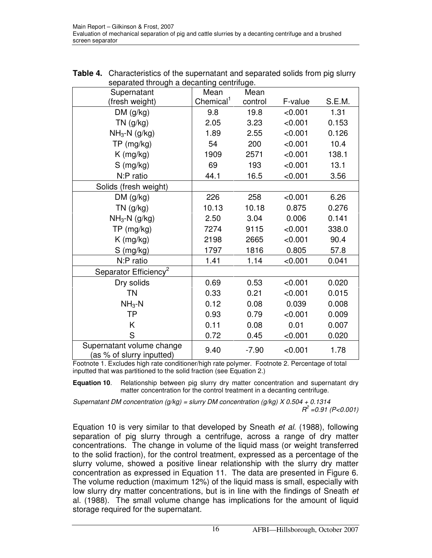| separated through a decanting centrifuge.              |                       |         |         |        |  |  |  |
|--------------------------------------------------------|-----------------------|---------|---------|--------|--|--|--|
| Supernatant                                            | Mean                  | Mean    |         |        |  |  |  |
| (fresh weight)                                         | Chemical <sup>1</sup> | control | F-value | S.E.M. |  |  |  |
| DM(g/kg)                                               | 9.8                   | 19.8    | < 0.001 | 1.31   |  |  |  |
| $TN$ (g/kg)                                            | 2.05                  | 3.23    | < 0.001 | 0.153  |  |  |  |
| $NH_3-N$ (g/kg)                                        | 1.89                  | 2.55    | < 0.001 | 0.126  |  |  |  |
| $TP$ (mg/kg)                                           | 54                    | 200     | < 0.001 | 10.4   |  |  |  |
| $K$ (mg/kg)                                            | 1909                  | 2571    | < 0.001 | 138.1  |  |  |  |
| $S$ (mg/kg)                                            | 69                    | 193     | < 0.001 | 13.1   |  |  |  |
| N:P ratio                                              | 44.1                  | 16.5    | < 0.001 | 3.56   |  |  |  |
| Solids (fresh weight)                                  |                       |         |         |        |  |  |  |
| DM(g/kg)                                               | 226                   | 258     | < 0.001 | 6.26   |  |  |  |
| $TN$ (g/kg)                                            | 10.13                 | 10.18   | 0.875   | 0.276  |  |  |  |
| $NH_3-N$ (g/kg)                                        | 2.50                  | 3.04    | 0.006   | 0.141  |  |  |  |
| TP (mg/kg)                                             | 7274                  | 9115    | < 0.001 | 338.0  |  |  |  |
| $K$ (mg/kg)                                            | 2198                  | 2665    | < 0.001 | 90.4   |  |  |  |
| $S$ (mg/kg)                                            | 1797                  | 1816    | 0.805   | 57.8   |  |  |  |
| N:P ratio                                              | 1.41                  | 1.14    | < 0.001 | 0.041  |  |  |  |
| Separator Efficiency <sup>2</sup>                      |                       |         |         |        |  |  |  |
| Dry solids                                             | 0.69                  | 0.53    | < 0.001 | 0.020  |  |  |  |
| ΤN                                                     | 0.33                  | 0.21    | < 0.001 | 0.015  |  |  |  |
| $NH3-N$                                                | 0.12                  | 0.08    | 0.039   | 0.008  |  |  |  |
| <b>TP</b>                                              | 0.93                  | 0.79    | < 0.001 | 0.009  |  |  |  |
| K                                                      | 0.11                  | 0.08    | 0.01    | 0.007  |  |  |  |
| S                                                      | 0.72                  | 0.45    | < 0.001 | 0.020  |  |  |  |
| Supernatant volume change<br>(as % of slurry inputted) | 9.40                  | $-7.90$ | < 0.001 | 1.78   |  |  |  |

| <b>Table 4.</b> Characteristics of the supernatant and separated solids from pig slurry |
|-----------------------------------------------------------------------------------------|
| separated through a decanting centrifuge.                                               |

Footnote 1. Excludes high rate conditioner/high rate polymer. Footnote 2. Percentage of total inputted that was partitioned to the solid fraction (see Equation 2.)

**Equation 10**. Relationship between pig slurry dry matter concentration and supernatant dry matter concentration for the control treatment in a decanting centrifuge.

Supernatant DM concentration ( $q/kg$ ) = slurry DM concentration ( $q/kg$ ) X 0.504 + 0.1314  $R^2$  =0.91 (P<0.001)

Equation 10 is very similar to that developed by Sneath et al. (1988), following separation of pig slurry through a centrifuge, across a range of dry matter concentrations. The change in volume of the liquid mass (or weight transferred to the solid fraction), for the control treatment, expressed as a percentage of the slurry volume, showed a positive linear relationship with the slurry dry matter concentration as expressed in Equation 11. The data are presented in Figure 6. The volume reduction (maximum 12%) of the liquid mass is small, especially with low slurry dry matter concentrations, but is in line with the findings of Sneath et al. (1988). The small volume change has implications for the amount of liquid storage required for the supernatant.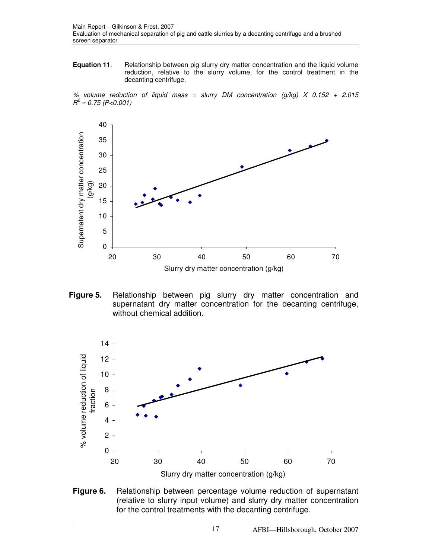**Equation 11.** Relationship between pig slurry dry matter concentration and the liquid volume reduction, relative to the slurry volume, for the control treatment in the decanting centrifuge.

% volume reduction of liquid mass = slurry DM concentration  $(q/kg)$  X 0.152 + 2.015  $R^2$  = 0.75 (P<0.001)



**Figure 5.** Relationship between pig slurry dry matter concentration and supernatant dry matter concentration for the decanting centrifuge, without chemical addition.



**Figure 6.** Relationship between percentage volume reduction of supernatant (relative to slurry input volume) and slurry dry matter concentration for the control treatments with the decanting centrifuge.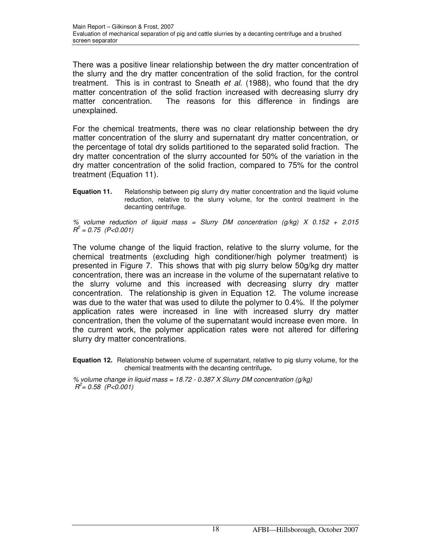There was a positive linear relationship between the dry matter concentration of the slurry and the dry matter concentration of the solid fraction, for the control treatment. This is in contrast to Sneath *et al.* (1988), who found that the dry matter concentration of the solid fraction increased with decreasing slurry dry matter concentration. The reasons for this difference in findings are unexplained.

For the chemical treatments, there was no clear relationship between the dry matter concentration of the slurry and supernatant dry matter concentration, or the percentage of total dry solids partitioned to the separated solid fraction. The dry matter concentration of the slurry accounted for 50% of the variation in the dry matter concentration of the solid fraction, compared to 75% for the control treatment (Equation 11).

**Equation 11.** Relationship between pig slurry dry matter concentration and the liquid volume reduction, relative to the slurry volume, for the control treatment in the decanting centrifuge.

% volume reduction of liquid mass = Slurry DM concentration  $(q/kg)$  X 0.152 + 2.015  $R^2$  = 0.75 (P<0.001)

The volume change of the liquid fraction, relative to the slurry volume, for the chemical treatments (excluding high conditioner/high polymer treatment) is presented in Figure 7. This shows that with pig slurry below 50g/kg dry matter concentration, there was an increase in the volume of the supernatant relative to the slurry volume and this increased with decreasing slurry dry matter concentration. The relationship is given in Equation 12. The volume increase was due to the water that was used to dilute the polymer to 0.4%. If the polymer application rates were increased in line with increased slurry dry matter concentration, then the volume of the supernatant would increase even more. In the current work, the polymer application rates were not altered for differing slurry dry matter concentrations.

**Equation 12.** Relationship between volume of supernatant, relative to pig slurry volume, for the chemical treatments with the decanting centrifuge**.** 

% volume change in liquid mass =  $18.72 - 0.387$  X Slurry DM concentration (g/kg)  $R^2 = 0.58$  (P<0.001)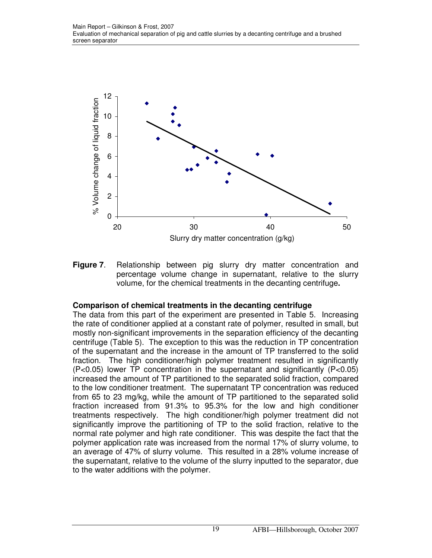

**Figure 7**. Relationship between pig slurry dry matter concentration and percentage volume change in supernatant, relative to the slurry volume, for the chemical treatments in the decanting centrifuge**.** 

## **Comparison of chemical treatments in the decanting centrifuge**

The data from this part of the experiment are presented in Table 5. Increasing the rate of conditioner applied at a constant rate of polymer, resulted in small, but mostly non-significant improvements in the separation efficiency of the decanting centrifuge (Table 5). The exception to this was the reduction in TP concentration of the supernatant and the increase in the amount of TP transferred to the solid fraction. The high conditioner/high polymer treatment resulted in significantly (P<0.05) lower TP concentration in the supernatant and significantly (P<0.05) increased the amount of TP partitioned to the separated solid fraction, compared to the low conditioner treatment. The supernatant TP concentration was reduced from 65 to 23 mg/kg, while the amount of TP partitioned to the separated solid fraction increased from 91.3% to 95.3% for the low and high conditioner treatments respectively. The high conditioner/high polymer treatment did not significantly improve the partitioning of TP to the solid fraction, relative to the normal rate polymer and high rate conditioner. This was despite the fact that the polymer application rate was increased from the normal 17% of slurry volume, to an average of 47% of slurry volume. This resulted in a 28% volume increase of the supernatant, relative to the volume of the slurry inputted to the separator, due to the water additions with the polymer.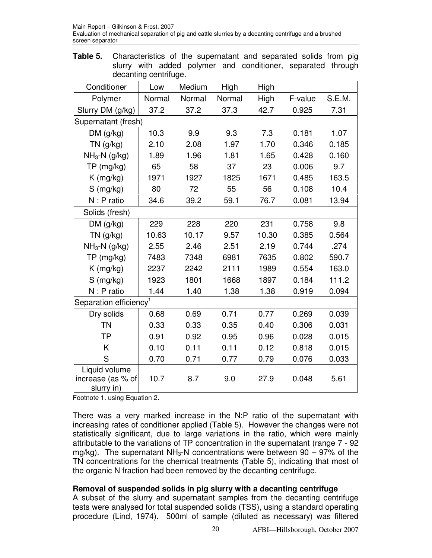**Table 5.** Characteristics of the supernatant and separated solids from pig slurry with added polymer and conditioner, separated through decanting centrifuge.

| Conditioner                                      | Low    | Medium | High   | High  |         |        |
|--------------------------------------------------|--------|--------|--------|-------|---------|--------|
| Polymer                                          | Normal | Normal | Normal | High  | F-value | S.E.M. |
| Slurry DM (g/kg)                                 | 37.2   | 37.2   | 37.3   | 42.7  | 0.925   | 7.31   |
| Supernatant (fresh)                              |        |        |        |       |         |        |
| DM(g/kg)                                         | 10.3   | 9.9    | 9.3    | 7.3   | 0.181   | 1.07   |
| $TN$ (g/kg)                                      | 2.10   | 2.08   | 1.97   | 1.70  | 0.346   | 0.185  |
| $NH3-N$ (g/kg)                                   | 1.89   | 1.96   | 1.81   | 1.65  | 0.428   | 0.160  |
| TP (mg/kg)                                       | 65     | 58     | 37     | 23    | 0.006   | 9.7    |
| $K$ (mg/kg)                                      | 1971   | 1927   | 1825   | 1671  | 0.485   | 163.5  |
| S (mg/kg)                                        | 80     | 72     | 55     | 56    | 0.108   | 10.4   |
| N : P ratio                                      | 34.6   | 39.2   | 59.1   | 76.7  | 0.081   | 13.94  |
| Solids (fresh)                                   |        |        |        |       |         |        |
| DM(g/kg)                                         | 229    | 228    | 220    | 231   | 0.758   | 9.8    |
| $TN$ (g/kg)                                      | 10.63  | 10.17  | 9.57   | 10.30 | 0.385   | 0.564  |
| $NH3-N$ (g/kg)                                   | 2.55   | 2.46   | 2.51   | 2.19  | 0.744   | .274   |
| TP (mg/kg)                                       | 7483   | 7348   | 6981   | 7635  | 0.802   | 590.7  |
| $K$ (mg/kg)                                      | 2237   | 2242   | 2111   | 1989  | 0.554   | 163.0  |
| $S$ (mg/kg)                                      | 1923   | 1801   | 1668   | 1897  | 0.184   | 111.2  |
| N : P ratio                                      | 1.44   | 1.40   | 1.38   | 1.38  | 0.919   | 0.094  |
| Separation efficiency <sup>1</sup>               |        |        |        |       |         |        |
| Dry solids                                       | 0.68   | 0.69   | 0.71   | 0.77  | 0.269   | 0.039  |
| <b>TN</b>                                        | 0.33   | 0.33   | 0.35   | 0.40  | 0.306   | 0.031  |
| <b>TP</b>                                        | 0.91   | 0.92   | 0.95   | 0.96  | 0.028   | 0.015  |
| Κ                                                | 0.10   | 0.11   | 0.11   | 0.12  | 0.818   | 0.015  |
| S                                                | 0.70   | 0.71   | 0.77   | 0.79  | 0.076   | 0.033  |
| Liquid volume<br>increase (as % of<br>slurry in) | 10.7   | 8.7    | 9.0    | 27.9  | 0.048   | 5.61   |

Footnote 1. using Equation 2.

There was a very marked increase in the N:P ratio of the supernatant with increasing rates of conditioner applied (Table 5). However the changes were not statistically significant, due to large variations in the ratio, which were mainly attributable to the variations of TP concentration in the supernatant (range 7 - 92 mg/kg). The supernatant  $NH<sub>3</sub>-N$  concentrations were between 90 – 97% of the TN concentrations for the chemical treatments (Table 5), indicating that most of the organic N fraction had been removed by the decanting centrifuge.

## **Removal of suspended solids in pig slurry with a decanting centrifuge**

A subset of the slurry and supernatant samples from the decanting centrifuge tests were analysed for total suspended solids (TSS), using a standard operating procedure (Lind, 1974). 500ml of sample (diluted as necessary) was filtered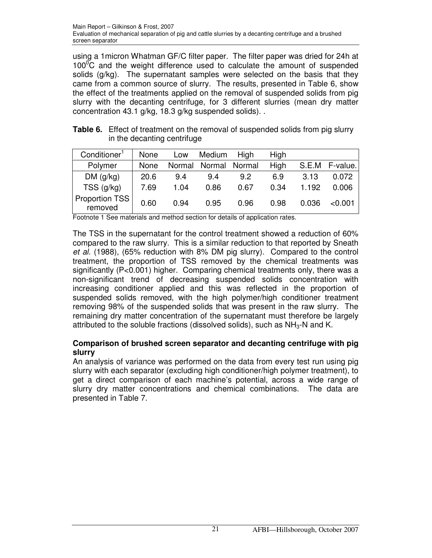using a 1micron Whatman GF/C filter paper. The filter paper was dried for 24h at  $100^{\circ}$ C and the weight difference used to calculate the amount of suspended solids (g/kg). The supernatant samples were selected on the basis that they came from a common source of slurry. The results, presented in Table 6, show the effect of the treatments applied on the removal of suspended solids from pig slurry with the decanting centrifuge, for 3 different slurries (mean dry matter concentration 43.1 g/kg, 18.3 g/kg suspended solids). .

| <b>Table 6.</b> Effect of treatment on the removal of suspended solids from pig slurry |
|----------------------------------------------------------------------------------------|
| in the decanting centrifuge                                                            |

| Conditioner <sup>1</sup>         | None | Low    | Medium | High          | High |       |          |
|----------------------------------|------|--------|--------|---------------|------|-------|----------|
| Polymer                          | None | Normal |        | Normal Normal | High | S.E.M | F-value. |
| DM(g/kg)                         | 20.6 | 9.4    | 9.4    | 9.2           | 6.9  | 3.13  | 0.072    |
| $TSS$ ( $g/kg$ )                 | 7.69 | 1.04   | 0.86   | 0.67          | 0.34 | 1.192 | 0.006    |
| <b>Proportion TSS</b><br>removed | 0.60 | 0.94   | 0.95   | 0.96          | 0.98 | 0.036 | < 0.001  |

Footnote 1 See materials and method section for details of application rates.

The TSS in the supernatant for the control treatment showed a reduction of 60% compared to the raw slurry. This is a similar reduction to that reported by Sneath et al. (1988), (65% reduction with 8% DM pig slurry). Compared to the control treatment, the proportion of TSS removed by the chemical treatments was significantly (P<0.001) higher. Comparing chemical treatments only, there was a non-significant trend of decreasing suspended solids concentration with increasing conditioner applied and this was reflected in the proportion of suspended solids removed, with the high polymer/high conditioner treatment removing 98% of the suspended solids that was present in the raw slurry. The remaining dry matter concentration of the supernatant must therefore be largely attributed to the soluble fractions (dissolved solids), such as  $NH<sub>3</sub>$ -N and K.

## **Comparison of brushed screen separator and decanting centrifuge with pig slurry**

An analysis of variance was performed on the data from every test run using pig slurry with each separator (excluding high conditioner/high polymer treatment), to get a direct comparison of each machine's potential, across a wide range of slurry dry matter concentrations and chemical combinations. The data are presented in Table 7.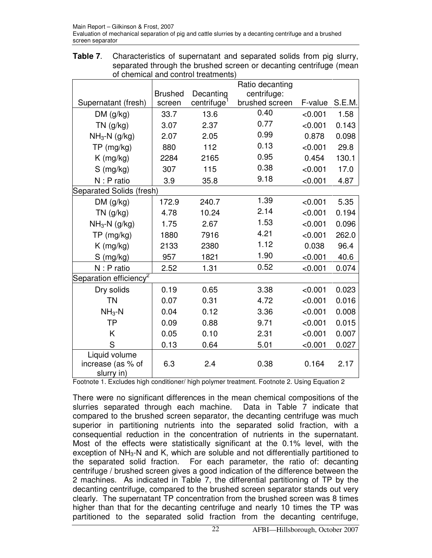**Table 7**. Characteristics of supernatant and separated solids from pig slurry, separated through the brushed screen or decanting centrifuge (mean of chemical and control treatments)

|                                                  | Ratio decanting |                         |                |         |        |
|--------------------------------------------------|-----------------|-------------------------|----------------|---------|--------|
|                                                  | <b>Brushed</b>  | Decanting               | centrifuge:    |         |        |
| Supernatant (fresh)                              | screen          | centrifuge <sup>1</sup> | brushed screen | F-value | S.E.M. |
| DM(g/kg)                                         | 33.7            | 13.6                    | 0.40           | < 0.001 | 1.58   |
| $TN$ (g/kg)                                      | 3.07            | 2.37                    | 0.77           | < 0.001 | 0.143  |
| $NH3-N$ (g/kg)                                   | 2.07            | 2.05                    | 0.99           | 0.878   | 0.098  |
| TP (mg/kg)                                       | 880             | 112                     | 0.13           | < 0.001 | 29.8   |
| $K$ (mg/kg)                                      | 2284            | 2165                    | 0.95           | 0.454   | 130.1  |
| $S$ (mg/kg)                                      | 307             | 115                     | 0.38           | < 0.001 | 17.0   |
| N : P ratio                                      | 3.9             | 35.8                    | 9.18           | < 0.001 | 4.87   |
| Separated Solids (fresh)                         |                 |                         |                |         |        |
| DM(g/kg)                                         | 172.9           | 240.7                   | 1.39           | < 0.001 | 5.35   |
| $TN$ (g/kg)                                      | 4.78            | 10.24                   | 2.14           | < 0.001 | 0.194  |
| $NH3-N$ (g/kg)                                   | 1.75            | 2.67                    | 1.53           | < 0.001 | 0.096  |
| TP (mg/kg)                                       | 1880            | 7916                    | 4.21           | < 0.001 | 262.0  |
| $K$ (mg/kg)                                      | 2133            | 2380                    | 1.12           | 0.038   | 96.4   |
| $S$ (mg/kg)                                      | 957             | 1821                    | 1.90           | < 0.001 | 40.6   |
| $N: P$ ratio                                     | 2.52            | 1.31                    | 0.52           | < 0.001 | 0.074  |
| Separation efficiency <sup>2</sup>               |                 |                         |                |         |        |
| Dry solids                                       | 0.19            | 0.65                    | 3.38           | < 0.001 | 0.023  |
| <b>TN</b>                                        | 0.07            | 0.31                    | 4.72           | < 0.001 | 0.016  |
| $NH3 - N$                                        | 0.04            | 0.12                    | 3.36           | < 0.001 | 0.008  |
| <b>TP</b>                                        | 0.09            | 0.88                    | 9.71           | < 0.001 | 0.015  |
| K                                                | 0.05            | 0.10                    | 2.31           | < 0.001 | 0.007  |
| S                                                | 0.13            | 0.64                    | 5.01           | < 0.001 | 0.027  |
| Liquid volume<br>increase (as % of<br>slurry in) | 6.3             | 2.4                     | 0.38           | 0.164   | 2.17   |

Footnote 1. Excludes high conditioner/ high polymer treatment. Footnote 2. Using Equation 2

There were no significant differences in the mean chemical compositions of the slurries separated through each machine. Data in Table 7 indicate that slurries separated through each machine. compared to the brushed screen separator, the decanting centrifuge was much superior in partitioning nutrients into the separated solid fraction, with a consequential reduction in the concentration of nutrients in the supernatant. Most of the effects were statistically significant at the 0.1% level, with the exception of NH3-N and K, which are soluble and not differentially partitioned to the separated solid fraction. For each parameter, the ratio of: decanting centrifuge / brushed screen gives a good indication of the difference between the 2 machines. As indicated in Table 7, the differential partitioning of TP by the decanting centrifuge, compared to the brushed screen separator stands out very clearly. The supernatant TP concentration from the brushed screen was 8 times higher than that for the decanting centrifuge and nearly 10 times the TP was partitioned to the separated solid fraction from the decanting centrifuge,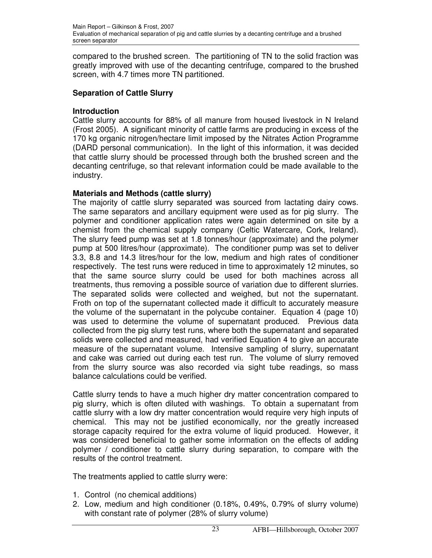compared to the brushed screen. The partitioning of TN to the solid fraction was greatly improved with use of the decanting centrifuge, compared to the brushed screen, with 4.7 times more TN partitioned.

## **Separation of Cattle Slurry**

## **Introduction**

Cattle slurry accounts for 88% of all manure from housed livestock in N Ireland (Frost 2005). A significant minority of cattle farms are producing in excess of the 170 kg organic nitrogen/hectare limit imposed by the Nitrates Action Programme (DARD personal communication). In the light of this information, it was decided that cattle slurry should be processed through both the brushed screen and the decanting centrifuge, so that relevant information could be made available to the industry.

## **Materials and Methods (cattle slurry)**

The majority of cattle slurry separated was sourced from lactating dairy cows. The same separators and ancillary equipment were used as for pig slurry. The polymer and conditioner application rates were again determined on site by a chemist from the chemical supply company (Celtic Watercare, Cork, Ireland). The slurry feed pump was set at 1.8 tonnes/hour (approximate) and the polymer pump at 500 litres/hour (approximate). The conditioner pump was set to deliver 3.3, 8.8 and 14.3 litres/hour for the low, medium and high rates of conditioner respectively. The test runs were reduced in time to approximately 12 minutes, so that the same source slurry could be used for both machines across all treatments, thus removing a possible source of variation due to different slurries. The separated solids were collected and weighed, but not the supernatant. Froth on top of the supernatant collected made it difficult to accurately measure the volume of the supernatant in the polycube container. Equation 4 (page 10) was used to determine the volume of supernatant produced. Previous data collected from the pig slurry test runs, where both the supernatant and separated solids were collected and measured, had verified Equation 4 to give an accurate measure of the supernatant volume. Intensive sampling of slurry, supernatant and cake was carried out during each test run. The volume of slurry removed from the slurry source was also recorded via sight tube readings, so mass balance calculations could be verified.

Cattle slurry tends to have a much higher dry matter concentration compared to pig slurry, which is often diluted with washings. To obtain a supernatant from cattle slurry with a low dry matter concentration would require very high inputs of chemical. This may not be justified economically, nor the greatly increased storage capacity required for the extra volume of liquid produced. However, it was considered beneficial to gather some information on the effects of adding polymer / conditioner to cattle slurry during separation, to compare with the results of the control treatment.

The treatments applied to cattle slurry were:

- 1. Control (no chemical additions)
- 2. Low, medium and high conditioner (0.18%, 0.49%, 0.79% of slurry volume) with constant rate of polymer (28% of slurry volume)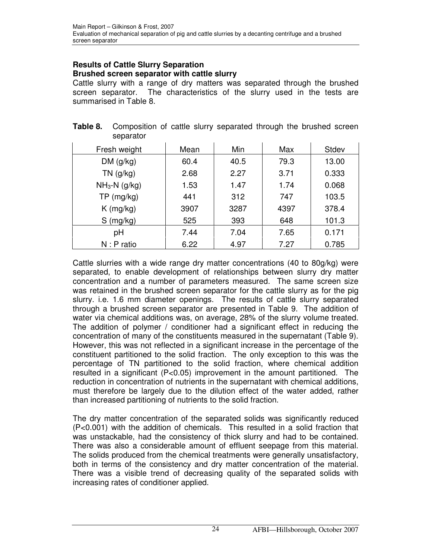#### **Results of Cattle Slurry Separation Brushed screen separator with cattle slurry**

separator

Cattle slurry with a range of dry matters was separated through the brushed screen separator. The characteristics of the slurry used in the tests are summarised in Table 8.

**Table 8.** Composition of cattle slurry separated through the brushed screen

| separatur      |      |      |      |       |
|----------------|------|------|------|-------|
| Fresh weight   | Mean | Min  | Max  | Stdev |
| DM(g/kg)       | 60.4 | 40.5 | 79.3 | 13.00 |
| $TN$ (g/kg)    | 2.68 | 2.27 | 3.71 | 0.333 |
| $NH3-N$ (g/kg) | 1.53 | 1.47 | 1.74 | 0.068 |
| TP (mg/kg)     | 441  | 312  | 747  | 103.5 |
| $K$ (mg/kg)    | 3907 | 3287 | 4397 | 378.4 |
| $S$ (mg/kg)    | 525  | 393  | 648  | 101.3 |
| рH             | 7.44 | 7.04 | 7.65 | 0.171 |
| $N: P$ ratio   | 6.22 | 4.97 | 7.27 | 0.785 |

| Cattle slurries with a wide range dry matter concentrations (40 to 80g/kg) were     |
|-------------------------------------------------------------------------------------|
| separated, to enable development of relationships between slurry dry matter         |
| concentration and a number of parameters measured. The same screen size             |
| was retained in the brushed screen separator for the cattle slurry as for the pig   |
| slurry. i.e. 1.6 mm diameter openings. The results of cattle slurry separated       |
| through a brushed screen separator are presented in Table 9. The addition of        |
| water via chemical additions was, on average, 28% of the slurry volume treated.     |
| The addition of polymer / conditioner had a significant effect in reducing the      |
| concentration of many of the constituents measured in the supernatant (Table 9).    |
| However, this was not reflected in a significant increase in the percentage of the  |
| constituent partitioned to the solid fraction. The only exception to this was the   |
| percentage of TN partitioned to the solid fraction, where chemical addition         |
| resulted in a significant (P<0.05) improvement in the amount partitioned. The       |
| reduction in concentration of nutrients in the supernatant with chemical additions, |
| must therefore be largely due to the dilution effect of the water added, rather     |
| than increased partitioning of nutrients to the solid fraction.                     |

The dry matter concentration of the separated solids was significantly reduced (P<0.001) with the addition of chemicals. This resulted in a solid fraction that was unstackable, had the consistency of thick slurry and had to be contained. There was also a considerable amount of effluent seepage from this material. The solids produced from the chemical treatments were generally unsatisfactory, both in terms of the consistency and dry matter concentration of the material. There was a visible trend of decreasing quality of the separated solids with increasing rates of conditioner applied.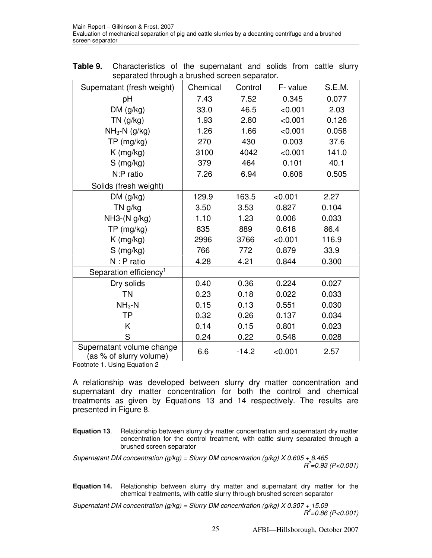| separated imodynia brashed soreen separator.<br>Supernatant (fresh weight) | Chemical | Control | F-value | S.E.M. |
|----------------------------------------------------------------------------|----------|---------|---------|--------|
| pH                                                                         | 7.43     | 7.52    | 0.345   | 0.077  |
| DM(g/kg)                                                                   | 33.0     | 46.5    | < 0.001 | 2.03   |
| $TN$ (g/kg)                                                                | 1.93     | 2.80    | < 0.001 | 0.126  |
| $NH3-N$ (g/kg)                                                             | 1.26     | 1.66    | < 0.001 | 0.058  |
| TP (mg/kg)                                                                 | 270      | 430     | 0.003   | 37.6   |
| $K$ (mg/kg)                                                                | 3100     | 4042    | < 0.001 | 141.0  |
| $S$ (mg/kg)                                                                | 379      | 464     | 0.101   | 40.1   |
| N:P ratio                                                                  | 7.26     | 6.94    | 0.606   | 0.505  |
| Solids (fresh weight)                                                      |          |         |         |        |
| DM (g/kg)                                                                  | 129.9    | 163.5   | < 0.001 | 2.27   |
| TN g/kg                                                                    | 3.50     | 3.53    | 0.827   | 0.104  |
| NH3-(N g/kg)                                                               | 1.10     | 1.23    | 0.006   | 0.033  |
| TP (mg/kg)                                                                 | 835      | 889     | 0.618   | 86.4   |
| $K$ (mg/kg)                                                                | 2996     | 3766    | < 0.001 | 116.9  |
| $S$ (mg/kg)                                                                | 766      | 772     | 0.879   | 33.9   |
| N : P ratio                                                                | 4.28     | 4.21    | 0.844   | 0.300  |
| Separation efficiency <sup>1</sup>                                         |          |         |         |        |
| Dry solids                                                                 | 0.40     | 0.36    | 0.224   | 0.027  |
| <b>TN</b>                                                                  | 0.23     | 0.18    | 0.022   | 0.033  |
| $NH3-N$                                                                    | 0.15     | 0.13    | 0.551   | 0.030  |
| <b>TP</b>                                                                  | 0.32     | 0.26    | 0.137   | 0.034  |
| K                                                                          | 0.14     | 0.15    | 0.801   | 0.023  |
| S                                                                          | 0.24     | 0.22    | 0.548   | 0.028  |
| Supernatant volume change<br>(as % of slurry volume)                       | 6.6      | $-14.2$ | < 0.001 | 2.57   |

**Table 9.** Characteristics of the supernatant and solids from cattle slurry separated through a brushed screen separator.

Footnote 1. Using Equation 2

A relationship was developed between slurry dry matter concentration and supernatant dry matter concentration for both the control and chemical treatments as given by Equations 13 and 14 respectively. The results are presented in Figure 8.

**Equation 13**. Relationship between slurry dry matter concentration and supernatant dry matter concentration for the control treatment, with cattle slurry separated through a brushed screen separator

Supernatant DM concentration (g/kg) = Slurry DM concentration (g/kg)  $X$  0.605 + 8.465  $R^2$ =0.93 (P<0.001)

**Equation 14.** Relationship between slurry dry matter and supernatant dry matter for the chemical treatments, with cattle slurry through brushed screen separator

Supernatant DM concentration (g/kg) = Slurry DM concentration (g/kg)  $X$  0.307 + 15.09  $R^2$ =0.86 (P<0.001)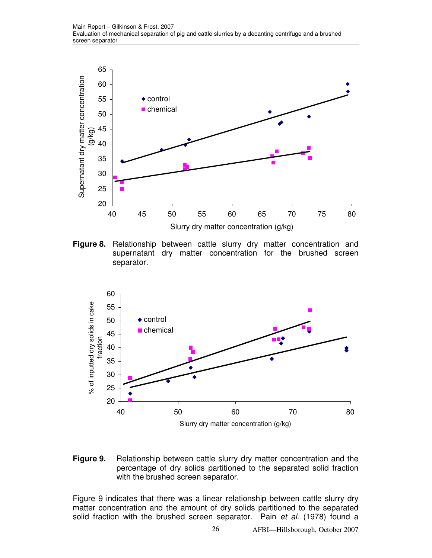

**Figure 8.** Relationship between cattle slurry dry matter concentration and supernatant dry matter concentration for the brushed screen separator.



**Figure 9.** Relationship between cattle slurry dry matter concentration and the percentage of dry solids partitioned to the separated solid fraction with the brushed screen separator.

Figure 9 indicates that there was a linear relationship between cattle slurry dry matter concentration and the amount of dry solids partitioned to the separated solid fraction with the brushed screen separator. Pain et al. (1978) found a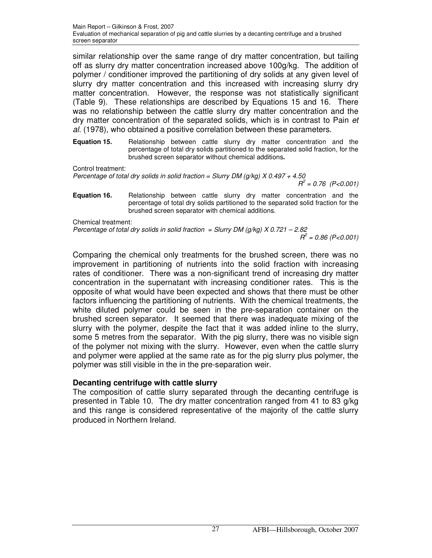similar relationship over the same range of dry matter concentration, but tailing off as slurry dry matter concentration increased above 100g/kg. The addition of polymer / conditioner improved the partitioning of dry solids at any given level of slurry dry matter concentration and this increased with increasing slurry dry matter concentration. However, the response was not statistically significant (Table 9). These relationships are described by Equations 15 and 16. There was no relationship between the cattle slurry dry matter concentration and the dry matter concentration of the separated solids, which is in contrast to Pain et al. (1978), who obtained a positive correlation between these parameters.

**Equation 15.** Relationship between cattle slurry dry matter concentration and the percentage of total dry solids partitioned to the separated solid fraction, for the brushed screen separator without chemical additions**.** 

Control treatment:

Percentage of total dry solids in solid fraction = Slurry DM ( $g/kg$ ) X 0.497 + 4.50

 $R^2 = 0.76$  (P<0.001)

**Equation 16.** Belationship between cattle slurry dry matter concentration and the percentage of total dry solids partitioned to the separated solid fraction for the brushed screen separator with chemical additions.

Chemical treatment:

Percentage of total dry solids in solid fraction = Slurry DM ( $g/kg$ ) X 0.721 – 2.82  $R^2$  = 0.86 (P<0.001)

Comparing the chemical only treatments for the brushed screen, there was no improvement in partitioning of nutrients into the solid fraction with increasing rates of conditioner. There was a non-significant trend of increasing dry matter concentration in the supernatant with increasing conditioner rates. This is the opposite of what would have been expected and shows that there must be other factors influencing the partitioning of nutrients. With the chemical treatments, the white diluted polymer could be seen in the pre-separation container on the brushed screen separator. It seemed that there was inadequate mixing of the slurry with the polymer, despite the fact that it was added inline to the slurry, some 5 metres from the separator. With the pig slurry, there was no visible sign of the polymer not mixing with the slurry. However, even when the cattle slurry and polymer were applied at the same rate as for the pig slurry plus polymer, the polymer was still visible in the in the pre-separation weir.

## **Decanting centrifuge with cattle slurry**

The composition of cattle slurry separated through the decanting centrifuge is presented in Table 10. The dry matter concentration ranged from 41 to 83 g/kg and this range is considered representative of the majority of the cattle slurry produced in Northern Ireland.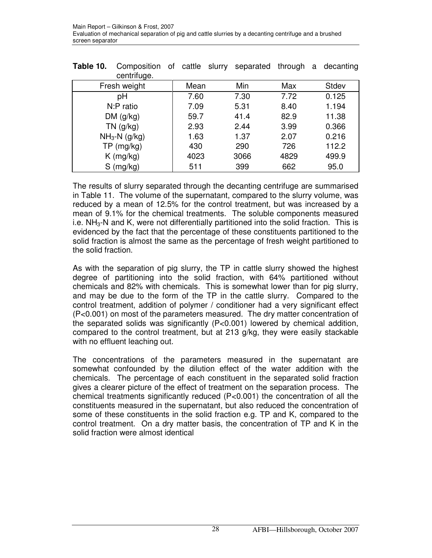| Table 10. | Composition of cattle slurry separated through a decanting<br>centrifuge. |      |  |      |      |       |
|-----------|---------------------------------------------------------------------------|------|--|------|------|-------|
|           | Fresh weight                                                              | Mean |  | Min  | Max  | Stdev |
|           | рH                                                                        | 7.60 |  | 7.30 | 7.72 | 0.125 |
|           | N:P ratio                                                                 | 7.09 |  | 5.31 | 8.40 | 1.194 |
|           | DM(g/kg)                                                                  | 59.7 |  | 41.4 | 82.9 | 11.38 |
|           | $TN$ (g/kg)                                                               | 2.93 |  | 2.44 | 3.99 | 0.366 |
|           | $NH3-N$ (g/kg)                                                            | 1.63 |  | 1.37 | 2.07 | 0.216 |
|           | TP (mg/kg)                                                                | 430  |  | 290  | 726  | 112.2 |
|           | $K$ (mg/kg)                                                               | 4023 |  | 3066 | 4829 | 499.9 |
|           | $S$ (mg/kg)                                                               | 511  |  | 399  | 662  | 95.0  |

The results of slurry separated through the decanting centrifuge are summarised in Table 11. The volume of the supernatant, compared to the slurry volume, was reduced by a mean of 12.5% for the control treatment, but was increased by a mean of 9.1% for the chemical treatments. The soluble components measured i.e.  $NH<sub>3</sub>-N$  and K, were not differentially partitioned into the solid fraction. This is evidenced by the fact that the percentage of these constituents partitioned to the solid fraction is almost the same as the percentage of fresh weight partitioned to the solid fraction.

As with the separation of pig slurry, the TP in cattle slurry showed the highest degree of partitioning into the solid fraction, with 64% partitioned without chemicals and 82% with chemicals. This is somewhat lower than for pig slurry, and may be due to the form of the TP in the cattle slurry. Compared to the control treatment, addition of polymer / conditioner had a very significant effect (P<0.001) on most of the parameters measured. The dry matter concentration of the separated solids was significantly (P<0.001) lowered by chemical addition, compared to the control treatment, but at 213 g/kg, they were easily stackable with no effluent leaching out.

The concentrations of the parameters measured in the supernatant are somewhat confounded by the dilution effect of the water addition with the chemicals. The percentage of each constituent in the separated solid fraction gives a clearer picture of the effect of treatment on the separation process. The chemical treatments significantly reduced (P<0.001) the concentration of all the constituents measured in the supernatant, but also reduced the concentration of some of these constituents in the solid fraction e.g. TP and K, compared to the control treatment. On a dry matter basis, the concentration of TP and K in the solid fraction were almost identical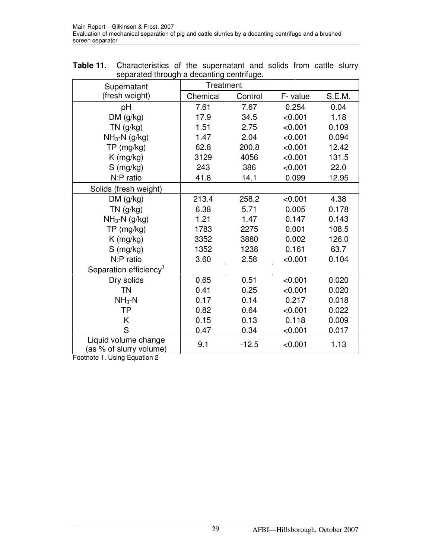| <b>Table 11.</b> Characteristics of the supernatant and solids from cattle slurry |  |  |  |  |  |  |  |
|-----------------------------------------------------------------------------------|--|--|--|--|--|--|--|
| separated through a decanting centrifuge.                                         |  |  |  |  |  |  |  |

| Supernatant                                     | Treatment |         |          |        |
|-------------------------------------------------|-----------|---------|----------|--------|
| (fresh weight)                                  | Chemical  | Control | F- value | S.E.M. |
| pH                                              | 7.61      | 7.67    | 0.254    | 0.04   |
| DM(g/kg)                                        | 17.9      | 34.5    | < 0.001  | 1.18   |
| $TN$ (g/kg)                                     | 1.51      | 2.75    | < 0.001  | 0.109  |
| $NH3-N$ (g/kg)                                  | 1.47      | 2.04    | < 0.001  | 0.094  |
| TP (mg/kg)                                      | 62.8      | 200.8   | < 0.001  | 12.42  |
| $K$ (mg/kg)                                     | 3129      | 4056    | < 0.001  | 131.5  |
| S (mg/kg)                                       | 243       | 386     | < 0.001  | 22.0   |
| N:P ratio                                       | 41.8      | 14.1    | 0.099    | 12.95  |
| Solids (fresh weight)                           |           |         |          |        |
| DM(g/kg)                                        | 213.4     | 258.2   | < 0.001  | 4.38   |
| $TN$ (g/kg)                                     | 6.38      | 5.71    | 0.005    | 0.178  |
| $NH3-N$ (g/kg)                                  | 1.21      | 1.47    | 0.147    | 0.143  |
| TP (mg/kg)                                      | 1783      | 2275    | 0.001    | 108.5  |
| $K$ (mg/kg)                                     | 3352      | 3880    | 0.002    | 126.0  |
| $S$ (mg/kg)                                     | 1352      | 1238    | 0.161    | 63.7   |
| N:P ratio                                       | 3.60      | 2.58    | < 0.001  | 0.104  |
| Separation efficiency <sup>1</sup>              |           |         |          |        |
| Dry solids                                      | 0.65      | 0.51    | < 0.001  | 0.020  |
| <b>TN</b>                                       | 0.41      | 0.25    | < 0.001  | 0.020  |
| $NH3-N$                                         | 0.17      | 0.14    | 0.217    | 0.018  |
| <b>TP</b>                                       | 0.82      | 0.64    | < 0.001  | 0.022  |
| K                                               | 0.15      | 0.13    | 0.118    | 0.009  |
| S                                               | 0.47      | 0.34    | < 0.001  | 0.017  |
| Liquid volume change<br>(as % of slurry volume) | 9.1       | $-12.5$ | < 0.001  | 1.13   |

Footnote 1. Using Equation 2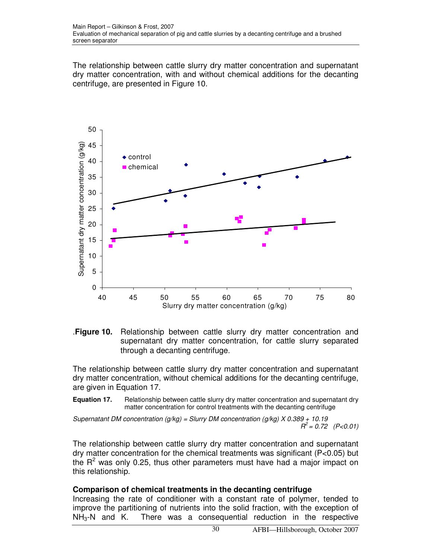The relationship between cattle slurry dry matter concentration and supernatant dry matter concentration, with and without chemical additions for the decanting centrifuge, are presented in Figure 10.





The relationship between cattle slurry dry matter concentration and supernatant dry matter concentration, without chemical additions for the decanting centrifuge, are given in Equation 17.

**Equation 17.** Relationship between cattle slurry dry matter concentration and supernatant dry matter concentration for control treatments with the decanting centrifuge

Supernatant DM concentration (g/kg) = Slurry DM concentration (g/kg)  $X$  0.389 + 10.19  $R^2 = 0.72$  (P<0.01)

The relationship between cattle slurry dry matter concentration and supernatant dry matter concentration for the chemical treatments was significant (P<0.05) but the  $R^2$  was only 0.25, thus other parameters must have had a major impact on this relationship.

#### **Comparison of chemical treatments in the decanting centrifuge**

Increasing the rate of conditioner with a constant rate of polymer, tended to improve the partitioning of nutrients into the solid fraction, with the exception of  $NH<sub>3</sub>-N$  and K. There was a consequential reduction in the respective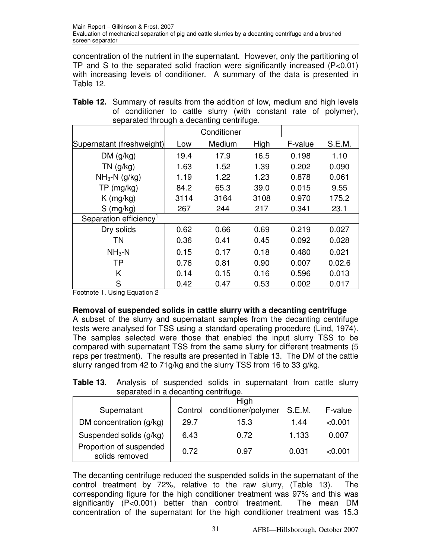concentration of the nutrient in the supernatant. However, only the partitioning of TP and S to the separated solid fraction were significantly increased (P<0.01) with increasing levels of conditioner. A summary of the data is presented in Table 12.

|                                    | Conditioner |        |      |         |        |  |
|------------------------------------|-------------|--------|------|---------|--------|--|
| Supernatant (freshweight)          | Low         | Medium | High | F-value | S.E.M. |  |
| DM(q/kg)                           | 19.4        | 17.9   | 16.5 | 0.198   | 1.10   |  |
| $TN$ (g/kg)                        | 1.63        | 1.52   | 1.39 | 0.202   | 0.090  |  |
| $NH3-N$ (g/kg)                     | 1.19        | 1.22   | 1.23 | 0.878   | 0.061  |  |
| $TP$ (mg/kg)                       | 84.2        | 65.3   | 39.0 | 0.015   | 9.55   |  |
| $K$ (mg/kg)                        | 3114        | 3164   | 3108 | 0.970   | 175.2  |  |
| $S$ (mg/kg)                        | 267         | 244    | 217  | 0.341   | 23.1   |  |
| Separation efficiency <sup>1</sup> |             |        |      |         |        |  |
| Dry solids                         | 0.62        | 0.66   | 0.69 | 0.219   | 0.027  |  |
| <b>TN</b>                          | 0.36        | 0.41   | 0.45 | 0.092   | 0.028  |  |
| $NH3 - N$                          | 0.15        | 0.17   | 0.18 | 0.480   | 0.021  |  |
| <b>TP</b>                          | 0.76        | 0.81   | 0.90 | 0.007   | 0.02.6 |  |
| K                                  | 0.14        | 0.15   | 0.16 | 0.596   | 0.013  |  |
| S                                  | 0.42        | 0.47   | 0.53 | 0.002   | 0.017  |  |

| <b>Table 12.</b> Summary of results from the addition of low, medium and high levels |
|--------------------------------------------------------------------------------------|
| of conditioner to cattle slurry (with constant rate of polymer),                     |
| separated through a decanting centrifuge.                                            |

Footnote 1. Using Equation 2

## **Removal of suspended solids in cattle slurry with a decanting centrifuge**

A subset of the slurry and supernatant samples from the decanting centrifuge tests were analysed for TSS using a standard operating procedure (Lind, 1974). The samples selected were those that enabled the input slurry TSS to be compared with supernatant TSS from the same slurry for different treatments (5 reps per treatment). The results are presented in Table 13. The DM of the cattle slurry ranged from 42 to 71g/kg and the slurry TSS from 16 to 33 g/kg.

**Table 13.** Analysis of suspended solids in supernatant from cattle slurry separated in a decanting centrifuge.

| 00paratoa ni a aooanting oontinago.       |         |                     |        |         |  |  |  |  |
|-------------------------------------------|---------|---------------------|--------|---------|--|--|--|--|
|                                           |         | High                |        |         |  |  |  |  |
| Supernatant                               | Control | conditioner/polymer | S.E.M. | F-value |  |  |  |  |
| DM concentration (g/kg)                   | 29.7    | 15.3                | 1.44   | < 0.001 |  |  |  |  |
| Suspended solids (g/kg)                   | 6.43    | 0.72                | 1.133  | 0.007   |  |  |  |  |
| Proportion of suspended<br>solids removed | 0.72    | 0.97                | 0.031  | < 0.001 |  |  |  |  |

The decanting centrifuge reduced the suspended solids in the supernatant of the control treatment by 72%, relative to the raw slurry, (Table 13). The corresponding figure for the high conditioner treatment was 97% and this was significantly (P<0.001) better than control treatment. The mean DM concentration of the supernatant for the high conditioner treatment was 15.3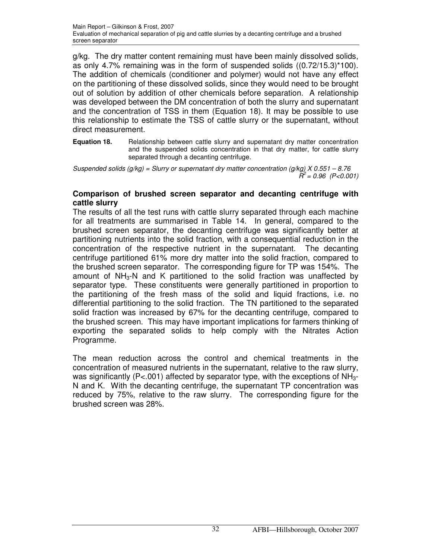g/kg. The dry matter content remaining must have been mainly dissolved solids, as only 4.7% remaining was in the form of suspended solids ((0.72/15.3)\*100). The addition of chemicals (conditioner and polymer) would not have any effect on the partitioning of these dissolved solids, since they would need to be brought out of solution by addition of other chemicals before separation. A relationship was developed between the DM concentration of both the slurry and supernatant and the concentration of TSS in them (Equation 18). It may be possible to use this relationship to estimate the TSS of cattle slurry or the supernatant, without direct measurement.

**Equation 18.** •• Relationship between cattle slurry and supernatant dry matter concentration and the suspended solids concentration in that dry matter, for cattle slurry separated through a decanting centrifuge.

Suspended solids ( $q/kq$ ) = Slurry or supernatant dry matter concentration ( $q/kq$ ) X 0.551 – 8.76  $\tilde{R}^2$  = 0.96 (P<0.001)

#### **Comparison of brushed screen separator and decanting centrifuge with cattle slurry**

The results of all the test runs with cattle slurry separated through each machine for all treatments are summarised in Table 14. In general, compared to the brushed screen separator, the decanting centrifuge was significantly better at partitioning nutrients into the solid fraction, with a consequential reduction in the concentration of the respective nutrient in the supernatant. The decanting centrifuge partitioned 61% more dry matter into the solid fraction, compared to the brushed screen separator. The corresponding figure for TP was 154%. The amount of  $NH<sub>3</sub>-N$  and K partitioned to the solid fraction was unaffected by separator type. These constituents were generally partitioned in proportion to the partitioning of the fresh mass of the solid and liquid fractions, i.e. no differential partitioning to the solid fraction. The TN partitioned to the separated solid fraction was increased by 67% for the decanting centrifuge, compared to the brushed screen. This may have important implications for farmers thinking of exporting the separated solids to help comply with the Nitrates Action Programme.

The mean reduction across the control and chemical treatments in the concentration of measured nutrients in the supernatant, relative to the raw slurry, was significantly ( $P < .001$ ) affected by separator type, with the exceptions of  $NH_{3-}$ N and K. With the decanting centrifuge, the supernatant TP concentration was reduced by 75%, relative to the raw slurry. The corresponding figure for the brushed screen was 28%.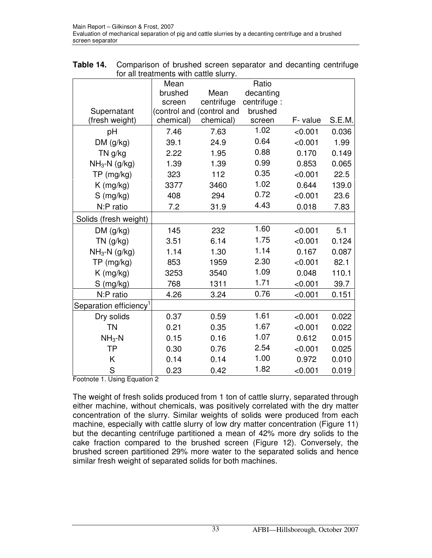|                                    | Mean      |                           | Ratio        |         |        |
|------------------------------------|-----------|---------------------------|--------------|---------|--------|
|                                    | brushed   | Mean                      | decanting    |         |        |
|                                    | screen    | centrifuge                | centrifuge : |         |        |
| Supernatant                        |           | (control and (control and | brushed      |         |        |
| (fresh weight)                     | chemical) | chemical)                 | screen       | F-value | S.E.M. |
| pH                                 | 7.46      | 7.63                      | 1.02         | < 0.001 | 0.036  |
| DM (g/kg)                          | 39.1      | 24.9                      | 0.64         | < 0.001 | 1.99   |
| TN g/kg                            | 2.22      | 1.95                      | 0.88         | 0.170   | 0.149  |
| $NH_3-N$ (g/kg)                    | 1.39      | 1.39                      | 0.99         | 0.853   | 0.065  |
| TP (mg/kg)                         | 323       | 112                       | 0.35         | < 0.001 | 22.5   |
| $K$ (mg/kg)                        | 3377      | 3460                      | 1.02         | 0.644   | 139.0  |
| $S$ (mg/kg)                        | 408       | 294                       | 0.72         | < 0.001 | 23.6   |
| N:P ratio                          | 7.2       | 31.9                      | 4.43         | 0.018   | 7.83   |
| Solids (fresh weight)              |           |                           |              |         |        |
| DM(g/kg)                           | 145       | 232                       | 1.60         | < 0.001 | 5.1    |
| $TN$ (g/kg)                        | 3.51      | 6.14                      | 1.75         | < 0.001 | 0.124  |
| $NH3-N$ (g/kg)                     | 1.14      | 1.30                      | 1.14         | 0.167   | 0.087  |
| TP (mg/kg)                         | 853       | 1959                      | 2.30         | < 0.001 | 82.1   |
| K (mg/kg)                          | 3253      | 3540                      | 1.09         | 0.048   | 110.1  |
| $S$ (mg/kg)                        | 768       | 1311                      | 1.71         | < 0.001 | 39.7   |
| N:P ratio                          | 4.26      | 3.24                      | 0.76         | < 0.001 | 0.151  |
| Separation efficiency <sup>1</sup> |           |                           |              |         |        |
| Dry solids                         | 0.37      | 0.59                      | 1.61         | < 0.001 | 0.022  |
| <b>TN</b>                          | 0.21      | 0.35                      | 1.67         | < 0.001 | 0.022  |
| $NH3-N$                            | 0.15      | 0.16                      | 1.07         | 0.612   | 0.015  |
| ΤP                                 | 0.30      | 0.76                      | 2.54         | < 0.001 | 0.025  |
| Κ                                  | 0.14      | 0.14                      | 1.00         | 0.972   | 0.010  |
| S                                  | 0.23      | 0.42                      | 1.82         | < 0.001 | 0.019  |

**Table 14.** Comparison of brushed screen separator and decanting centrifuge for all treatments with cattle slurry.

Footnote 1. Using Equation 2

The weight of fresh solids produced from 1 ton of cattle slurry, separated through either machine, without chemicals, was positively correlated with the dry matter concentration of the slurry. Similar weights of solids were produced from each machine, especially with cattle slurry of low dry matter concentration (Figure 11) but the decanting centrifuge partitioned a mean of 42% more dry solids to the cake fraction compared to the brushed screen (Figure 12). Conversely, the brushed screen partitioned 29% more water to the separated solids and hence similar fresh weight of separated solids for both machines.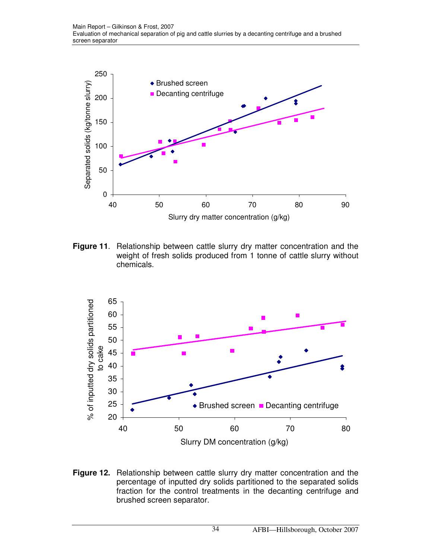

**Figure 11**. Relationship between cattle slurry dry matter concentration and the weight of fresh solids produced from 1 tonne of cattle slurry without chemicals.



**Figure 12.** Relationship between cattle slurry dry matter concentration and the percentage of inputted dry solids partitioned to the separated solids fraction for the control treatments in the decanting centrifuge and brushed screen separator.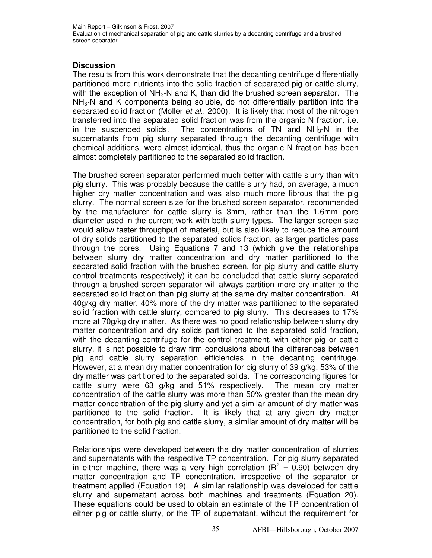## **Discussion**

The results from this work demonstrate that the decanting centrifuge differentially partitioned more nutrients into the solid fraction of separated pig or cattle slurry, with the exception of  $NH<sub>3</sub>-N$  and K, than did the brushed screen separator. The NH<sub>3</sub>-N and K components being soluble, do not differentially partition into the separated solid fraction (Moller et al., 2000). It is likely that most of the nitrogen transferred into the separated solid fraction was from the organic N fraction, i.e. in the suspended solids. The concentrations of TN and  $NH<sub>3</sub>-N$  in the supernatants from pig slurry separated through the decanting centrifuge with chemical additions, were almost identical, thus the organic N fraction has been almost completely partitioned to the separated solid fraction.

The brushed screen separator performed much better with cattle slurry than with pig slurry. This was probably because the cattle slurry had, on average, a much higher dry matter concentration and was also much more fibrous that the pig slurry. The normal screen size for the brushed screen separator, recommended by the manufacturer for cattle slurry is 3mm, rather than the 1.6mm pore diameter used in the current work with both slurry types. The larger screen size would allow faster throughput of material, but is also likely to reduce the amount of dry solids partitioned to the separated solids fraction, as larger particles pass through the pores. Using Equations 7 and 13 (which give the relationships between slurry dry matter concentration and dry matter partitioned to the separated solid fraction with the brushed screen, for pig slurry and cattle slurry control treatments respectively) it can be concluded that cattle slurry separated through a brushed screen separator will always partition more dry matter to the separated solid fraction than pig slurry at the same dry matter concentration. At 40g/kg dry matter, 40% more of the dry matter was partitioned to the separated solid fraction with cattle slurry, compared to pig slurry. This decreases to 17% more at 70g/kg dry matter. As there was no good relationship between slurry dry matter concentration and dry solids partitioned to the separated solid fraction, with the decanting centrifuge for the control treatment, with either pig or cattle slurry, it is not possible to draw firm conclusions about the differences between pig and cattle slurry separation efficiencies in the decanting centrifuge. However, at a mean dry matter concentration for pig slurry of 39 g/kg, 53% of the dry matter was partitioned to the separated solids. The corresponding figures for cattle slurry were 63 g/kg and 51% respectively. The mean dry matter concentration of the cattle slurry was more than 50% greater than the mean dry matter concentration of the pig slurry and yet a similar amount of dry matter was partitioned to the solid fraction. It is likely that at any given dry matter concentration, for both pig and cattle slurry, a similar amount of dry matter will be partitioned to the solid fraction.

Relationships were developed between the dry matter concentration of slurries and supernatants with the respective TP concentration. For pig slurry separated in either machine, there was a very high correlation ( $R^2 = 0.90$ ) between dry matter concentration and TP concentration, irrespective of the separator or treatment applied (Equation 19). A similar relationship was developed for cattle slurry and supernatant across both machines and treatments (Equation 20). These equations could be used to obtain an estimate of the TP concentration of either pig or cattle slurry, or the TP of supernatant, without the requirement for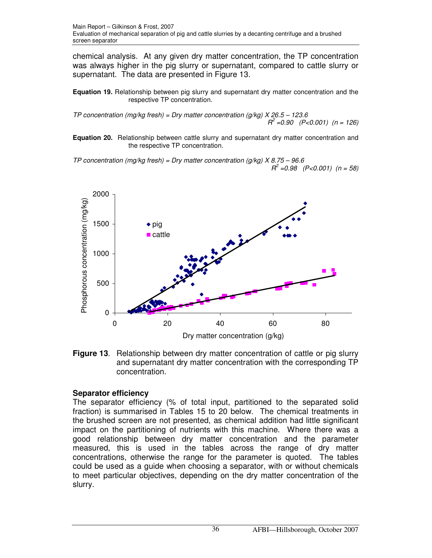chemical analysis. At any given dry matter concentration, the TP concentration was always higher in the pig slurry or supernatant, compared to cattle slurry or supernatant. The data are presented in Figure 13.

**Equation 19.** Relationship between pig slurry and supernatant dry matter concentration and the respective TP concentration.

TP concentration (mg/kg fresh) = Dry matter concentration (g/kg)  $X 26.5 - 123.6$  $R^2$  =0.90 (P<0.001) (n = 126)

**Equation 20.** Relationship between cattle slurry and supernatant dry matter concentration and the respective TP concentration.

TP concentration (mg/kg fresh) = Dry matter concentration (g/kg)  $X 8.75 - 96.6$  $R^2 = 0.98$  (P<0.001) (n = 58)



**Figure 13**. Relationship between dry matter concentration of cattle or pig slurry and supernatant dry matter concentration with the corresponding TP concentration.

## **Separator efficiency**

The separator efficiency (% of total input, partitioned to the separated solid fraction) is summarised in Tables 15 to 20 below. The chemical treatments in the brushed screen are not presented, as chemical addition had little significant impact on the partitioning of nutrients with this machine. Where there was a good relationship between dry matter concentration and the parameter measured, this is used in the tables across the range of dry matter concentrations, otherwise the range for the parameter is quoted. The tables could be used as a guide when choosing a separator, with or without chemicals to meet particular objectives, depending on the dry matter concentration of the slurry.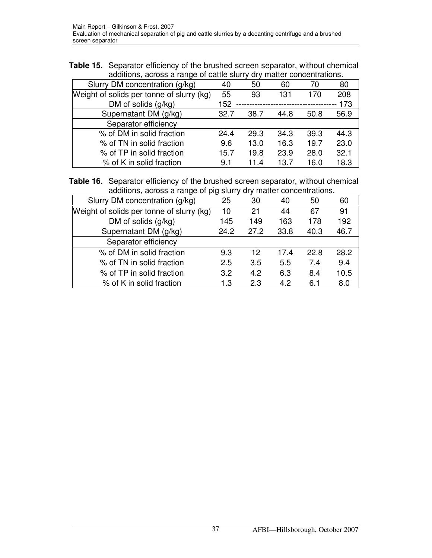| <b>Table 15.</b> Separator efficiency of the brushed screen separator, without chemical |
|-----------------------------------------------------------------------------------------|
| additions, across a range of cattle slurry dry matter concentrations.                   |

|                                           | $\alpha$ |      |                                |      |      |  |  |
|-------------------------------------------|----------|------|--------------------------------|------|------|--|--|
| Slurry DM concentration (g/kg)            | 40       | 50   | 60                             | 70   | 80   |  |  |
| Weight of solids per tonne of slurry (kg) | 55       | 93   | 131                            | 170  | 208  |  |  |
| DM of solids $(g/kg)$                     | 152      |      | ------------------------------ |      | 173  |  |  |
| Supernatant DM (g/kg)                     | 32.7     | 38.7 | 44.8                           | 50.8 | 56.9 |  |  |
| Separator efficiency                      |          |      |                                |      |      |  |  |
| % of DM in solid fraction                 | 24.4     | 29.3 | 34.3                           | 39.3 | 44.3 |  |  |
| % of TN in solid fraction                 | 9.6      | 13.0 | 16.3                           | 19.7 | 23.0 |  |  |
| % of TP in solid fraction                 | 15.7     | 19.8 | 23.9                           | 28.0 | 32.1 |  |  |
| % of K in solid fraction                  | 9.1      | 11.4 | 13.7                           | 16.0 | 18.3 |  |  |

**Table 16.** Separator efficiency of the brushed screen separator, without chemical additions, across a range of pig slurry dry matter concentrations.

| Slurry DM concentration (g/kg)            | 25   | 30   | 40   | 50   | 60   |
|-------------------------------------------|------|------|------|------|------|
| Weight of solids per tonne of slurry (kg) | 10   | 21   | 44   | 67   | 91   |
| DM of solids $(g/kg)$                     | 145  | 149  | 163  | 178  | 192  |
| Supernatant DM (g/kg)                     | 24.2 | 27.2 | 33.8 | 40.3 | 46.7 |
| Separator efficiency                      |      |      |      |      |      |
| % of DM in solid fraction                 | 9.3  | 12   | 17.4 | 22.8 | 28.2 |
| % of TN in solid fraction                 | 2.5  | 3.5  | 5.5  | 7.4  | 9.4  |
| % of TP in solid fraction                 | 3.2  | 4.2  | 6.3  | 8.4  | 10.5 |
| % of K in solid fraction                  | 1.3  | 2.3  | 4.2  | 6.1  | 8.0  |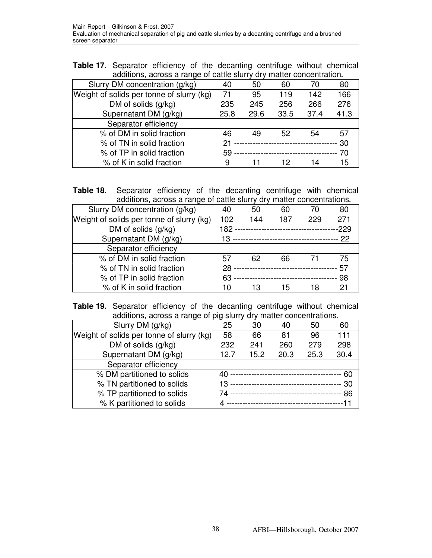**Table 17.** Separator efficiency of the decanting centrifuge without chemical additions, across a range of cattle slurry dry matter concentration**.** 

| $\alpha$                                  |        |                                  |                                  |      |      |
|-------------------------------------------|--------|----------------------------------|----------------------------------|------|------|
| Slurry DM concentration (g/kg)            | 40     | 50                               | 60                               | 70   | 80   |
| Weight of solids per tonne of slurry (kg) | 71     | 95                               | 119                              | 142  | 166  |
| DM of solids $(g/kg)$                     | 235    | 245                              | 256                              | 266  | 276  |
| Supernatant DM (g/kg)                     | 25.8   | 29.6                             | 33.5                             | 37.4 | 41.3 |
| Separator efficiency                      |        |                                  |                                  |      |      |
| % of DM in solid fraction                 | 46     | 49                               | 52                               | 54   | 57   |
| % of TN in solid fraction                 | 21     |                                  | -------------------------------- |      | 30   |
| % of TP in solid fraction                 | $59 -$ | -------------------------------- |                                  |      | 70   |
| % of K in solid fraction                  | 9      |                                  | 12                               | 14   | 15   |

| <b>Table 18.</b> Separator efficiency of the decanting centrifuge with chemical |  |  |  |  |
|---------------------------------------------------------------------------------|--|--|--|--|
| additions, across a range of cattle slurry dry matter concentrations.           |  |  |  |  |

| Slurry DM concentration (g/kg)            | 40     | 50                                  | 60                              | 70  | 80     |
|-------------------------------------------|--------|-------------------------------------|---------------------------------|-----|--------|
| Weight of solids per tonne of slurry (kg) | 102    | 144                                 | 187                             | 229 | 271    |
| DM of solids (g/kg)                       | 182 -- |                                     | -----------------------------   |     | $-229$ |
| Supernatant DM (g/kg)                     |        |                                     |                                 |     |        |
| Separator efficiency                      |        |                                     |                                 |     |        |
| % of DM in solid fraction                 | 57     | 62                                  | 66                              |     | 75     |
| % of TN in solid fraction                 | 28 --  | ----------------------------------- |                                 |     | 57     |
| % of TP in solid fraction                 | 63     |                                     | ------------------------------- |     | 98     |
| % of K in solid fraction                  | 10     | 13                                  | 15                              | 18  | 21     |

**Table 19.** Separator efficiency of the decanting centrifuge without chemical additions, across a range of pig slurry dry matter concentrations.

| Slurry DM (g/kg)                          | 25   | 30   | 40   | 50   | 60         |
|-------------------------------------------|------|------|------|------|------------|
| Weight of solids per tonne of slurry (kg) | 58   | 66   | 81   | 96   | 111        |
| DM of solids $(g/kg)$                     | 232  | 241  | 260  | 279  | 298        |
| Supernatant DM (g/kg)                     | 12.7 | 15.2 | 20.3 | 25.3 | 30.4       |
| Separator efficiency                      |      |      |      |      |            |
| % DM partitioned to solids                |      |      |      |      | 60         |
| % TN partitioned to solids                |      |      |      |      | $\cdot$ 30 |
| % TP partitioned to solids                |      |      |      |      | - 86       |
| % K partitioned to solids                 |      |      |      |      |            |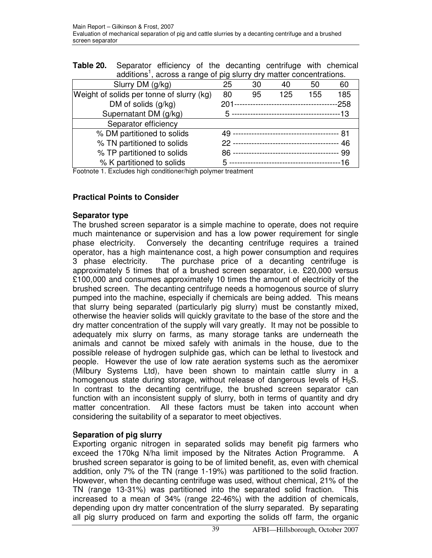| <b>Table 20.</b> Separator efficiency of the decanting centrifuge with chemical  |  |  |  |  |
|----------------------------------------------------------------------------------|--|--|--|--|
| additions <sup>1</sup> , across a range of pig slurry dry matter concentrations. |  |  |  |  |

| $\frac{1}{2}$                             |    |                                        |     |     |        |
|-------------------------------------------|----|----------------------------------------|-----|-----|--------|
| Slurry DM (g/kg)                          | 25 | 30                                     | 40  | 50  | 60     |
| Weight of solids per tonne of slurry (kg) | 80 | 95                                     | 125 | 155 | 185    |
| DM of solids $(g/kg)$                     |    | 201----------------------------------- |     |     | $-258$ |
| Supernatant DM (g/kg)                     |    |                                        |     |     |        |
| Separator efficiency                      |    |                                        |     |     |        |
| % DM partitioned to solids                |    |                                        |     |     | - 81   |
| % TN partitioned to solids                |    |                                        |     |     | 46     |
| % TP partitioned to solids                |    |                                        |     |     | 99     |
| % K partitioned to solids                 |    |                                        |     |     | --16   |

Footnote 1. Excludes high conditioner/high polymer treatment

## **Practical Points to Consider**

#### **Separator type**

The brushed screen separator is a simple machine to operate, does not require much maintenance or supervision and has a low power requirement for single phase electricity. Conversely the decanting centrifuge requires a trained operator, has a high maintenance cost, a high power consumption and requires 3 phase electricity. The purchase price of a decanting centrifuge is approximately 5 times that of a brushed screen separator, i.e. £20,000 versus £100,000 and consumes approximately 10 times the amount of electricity of the brushed screen. The decanting centrifuge needs a homogenous source of slurry pumped into the machine, especially if chemicals are being added. This means that slurry being separated (particularly pig slurry) must be constantly mixed, otherwise the heavier solids will quickly gravitate to the base of the store and the dry matter concentration of the supply will vary greatly. It may not be possible to adequately mix slurry on farms, as many storage tanks are underneath the animals and cannot be mixed safely with animals in the house, due to the possible release of hydrogen sulphide gas, which can be lethal to livestock and people. However the use of low rate aeration systems such as the aeromixer (Milbury Systems Ltd), have been shown to maintain cattle slurry in a homogenous state during storage, without release of dangerous levels of  $H_2S$ . In contrast to the decanting centrifuge, the brushed screen separator can function with an inconsistent supply of slurry, both in terms of quantity and dry matter concentration. All these factors must be taken into account when considering the suitability of a separator to meet objectives.

# **Separation of pig slurry**

Exporting organic nitrogen in separated solids may benefit pig farmers who exceed the 170kg N/ha limit imposed by the Nitrates Action Programme. A brushed screen separator is going to be of limited benefit, as, even with chemical addition, only 7% of the TN (range 1-19%) was partitioned to the solid fraction. However, when the decanting centrifuge was used, without chemical, 21% of the TN (range 13-31%) was partitioned into the separated solid fraction. This increased to a mean of 34% (range 22-46%) with the addition of chemicals, depending upon dry matter concentration of the slurry separated. By separating all pig slurry produced on farm and exporting the solids off farm, the organic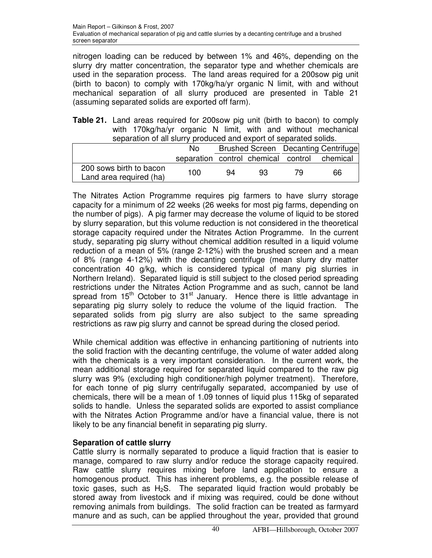nitrogen loading can be reduced by between 1% and 46%, depending on the slurry dry matter concentration, the separator type and whether chemicals are used in the separation process. The land areas required for a 200sow pig unit (birth to bacon) to comply with 170kg/ha/yr organic N limit, with and without mechanical separation of all slurry produced are presented in Table 21 (assuming separated solids are exported off farm).

|  |                                                                   |  |  |  | <b>Table 21.</b> Land areas required for 200sow pig unit (birth to bacon) to comply |
|--|-------------------------------------------------------------------|--|--|--|-------------------------------------------------------------------------------------|
|  |                                                                   |  |  |  | with 170kg/ha/yr organic N limit, with and without mechanical                       |
|  | separation of all slurry produced and export of separated solids. |  |  |  |                                                                                     |

|                                                    | N٥                                  |    |    |  | Brushed Screen Decanting Centrifuge |  |  |  |
|----------------------------------------------------|-------------------------------------|----|----|--|-------------------------------------|--|--|--|
|                                                    | separation control chemical control |    |    |  | chemical                            |  |  |  |
| 200 sows birth to bacon<br>Land area required (ha) | 100                                 | 94 | 93 |  | 66                                  |  |  |  |

The Nitrates Action Programme requires pig farmers to have slurry storage capacity for a minimum of 22 weeks (26 weeks for most pig farms, depending on the number of pigs). A pig farmer may decrease the volume of liquid to be stored by slurry separation, but this volume reduction is not considered in the theoretical storage capacity required under the Nitrates Action Programme. In the current study, separating pig slurry without chemical addition resulted in a liquid volume reduction of a mean of 5% (range 2-12%) with the brushed screen and a mean of 8% (range 4-12%) with the decanting centrifuge (mean slurry dry matter concentration 40 g/kg, which is considered typical of many pig slurries in Northern Ireland). Separated liquid is still subject to the closed period spreading restrictions under the Nitrates Action Programme and as such, cannot be land spread from  $15<sup>th</sup>$  October to  $31<sup>st</sup>$  January. Hence there is little advantage in separating pig slurry solely to reduce the volume of the liquid fraction. The separated solids from pig slurry are also subject to the same spreading restrictions as raw pig slurry and cannot be spread during the closed period.

While chemical addition was effective in enhancing partitioning of nutrients into the solid fraction with the decanting centrifuge, the volume of water added along with the chemicals is a very important consideration. In the current work, the mean additional storage required for separated liquid compared to the raw pig slurry was 9% (excluding high conditioner/high polymer treatment). Therefore, for each tonne of pig slurry centrifugally separated, accompanied by use of chemicals, there will be a mean of 1.09 tonnes of liquid plus 115kg of separated solids to handle. Unless the separated solids are exported to assist compliance with the Nitrates Action Programme and/or have a financial value, there is not likely to be any financial benefit in separating pig slurry.

# **Separation of cattle slurry**

Cattle slurry is normally separated to produce a liquid fraction that is easier to manage, compared to raw slurry and/or reduce the storage capacity required. Raw cattle slurry requires mixing before land application to ensure a homogenous product. This has inherent problems, e.g. the possible release of toxic gases, such as  $H_2S$ . The separated liquid fraction would probably be stored away from livestock and if mixing was required, could be done without removing animals from buildings. The solid fraction can be treated as farmyard manure and as such, can be applied throughout the year, provided that ground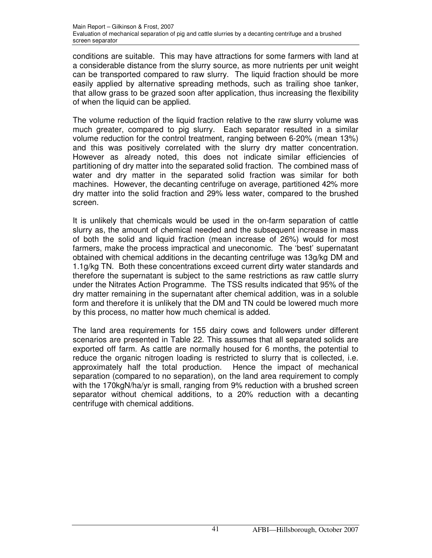conditions are suitable. This may have attractions for some farmers with land at a considerable distance from the slurry source, as more nutrients per unit weight can be transported compared to raw slurry. The liquid fraction should be more easily applied by alternative spreading methods, such as trailing shoe tanker, that allow grass to be grazed soon after application, thus increasing the flexibility of when the liquid can be applied.

The volume reduction of the liquid fraction relative to the raw slurry volume was much greater, compared to pig slurry. Each separator resulted in a similar volume reduction for the control treatment, ranging between 6-20% (mean 13%) and this was positively correlated with the slurry dry matter concentration. However as already noted, this does not indicate similar efficiencies of partitioning of dry matter into the separated solid fraction. The combined mass of water and dry matter in the separated solid fraction was similar for both machines. However, the decanting centrifuge on average, partitioned 42% more dry matter into the solid fraction and 29% less water, compared to the brushed screen.

It is unlikely that chemicals would be used in the on-farm separation of cattle slurry as, the amount of chemical needed and the subsequent increase in mass of both the solid and liquid fraction (mean increase of 26%) would for most farmers, make the process impractical and uneconomic. The 'best' supernatant obtained with chemical additions in the decanting centrifuge was 13g/kg DM and 1.1g/kg TN. Both these concentrations exceed current dirty water standards and therefore the supernatant is subject to the same restrictions as raw cattle slurry under the Nitrates Action Programme. The TSS results indicated that 95% of the dry matter remaining in the supernatant after chemical addition, was in a soluble form and therefore it is unlikely that the DM and TN could be lowered much more by this process, no matter how much chemical is added.

The land area requirements for 155 dairy cows and followers under different scenarios are presented in Table 22. This assumes that all separated solids are exported off farm. As cattle are normally housed for 6 months, the potential to reduce the organic nitrogen loading is restricted to slurry that is collected, i.e. approximately half the total production. Hence the impact of mechanical separation (compared to no separation), on the land area requirement to comply with the 170kgN/ha/yr is small, ranging from 9% reduction with a brushed screen separator without chemical additions, to a 20% reduction with a decanting centrifuge with chemical additions.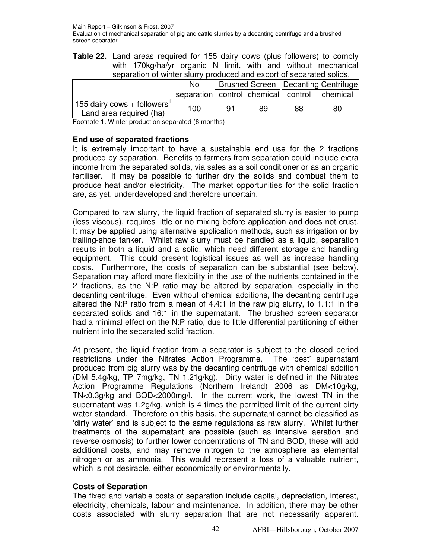**Table 22.** Land areas required for 155 dairy cows (plus followers) to comply with 170kg/ha/yr organic N limit, with and without mechanical separation of winter slurry produced and export of separated solids.

|                                                                    | Nο                       | Brushed Screen Decanting Centrifuge |    |    |                                              |
|--------------------------------------------------------------------|--------------------------|-------------------------------------|----|----|----------------------------------------------|
|                                                                    |                          |                                     |    |    | separation control chemical control chemical |
| 155 dairy cows + followers <sup>1</sup><br>Land area required (ha) | 100                      | 91                                  | 89 | 88 | 80                                           |
|                                                                    | $\overline{\phantom{a}}$ | . .                                 |    |    |                                              |

Footnote 1. Winter production separated (6 months)

#### **End use of separated fractions**

It is extremely important to have a sustainable end use for the 2 fractions produced by separation. Benefits to farmers from separation could include extra income from the separated solids, via sales as a soil conditioner or as an organic fertiliser. It may be possible to further dry the solids and combust them to produce heat and/or electricity. The market opportunities for the solid fraction are, as yet, underdeveloped and therefore uncertain.

Compared to raw slurry, the liquid fraction of separated slurry is easier to pump (less viscous), requires little or no mixing before application and does not crust. It may be applied using alternative application methods, such as irrigation or by trailing-shoe tanker. Whilst raw slurry must be handled as a liquid, separation results in both a liquid and a solid, which need different storage and handling equipment. This could present logistical issues as well as increase handling costs. Furthermore, the costs of separation can be substantial (see below). Separation may afford more flexibility in the use of the nutrients contained in the 2 fractions, as the N:P ratio may be altered by separation, especially in the decanting centrifuge. Even without chemical additions, the decanting centrifuge altered the N:P ratio from a mean of 4.4:1 in the raw pig slurry, to 1.1:1 in the separated solids and 16:1 in the supernatant. The brushed screen separator had a minimal effect on the N:P ratio, due to little differential partitioning of either nutrient into the separated solid fraction.

At present, the liquid fraction from a separator is subject to the closed period restrictions under the Nitrates Action Programme. The 'best' supernatant produced from pig slurry was by the decanting centrifuge with chemical addition (DM 5.4g/kg, TP 7mg/kg, TN 1.21g/kg). Dirty water is defined in the Nitrates Action Programme Regulations (Northern Ireland) 2006 as DM<10g/kg, TN<0.3g/kg and BOD<2000mg/l. In the current work, the lowest TN in the supernatant was 1.2g/kg, which is 4 times the permitted limit of the current dirty water standard. Therefore on this basis, the supernatant cannot be classified as 'dirty water' and is subject to the same regulations as raw slurry. Whilst further treatments of the supernatant are possible (such as intensive aeration and reverse osmosis) to further lower concentrations of TN and BOD, these will add additional costs, and may remove nitrogen to the atmosphere as elemental nitrogen or as ammonia. This would represent a loss of a valuable nutrient, which is not desirable, either economically or environmentally.

## **Costs of Separation**

The fixed and variable costs of separation include capital, depreciation, interest, electricity, chemicals, labour and maintenance. In addition, there may be other costs associated with slurry separation that are not necessarily apparent.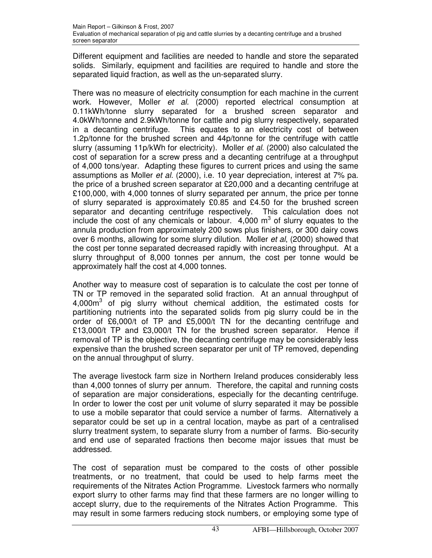Different equipment and facilities are needed to handle and store the separated solids. Similarly, equipment and facilities are required to handle and store the separated liquid fraction, as well as the un-separated slurry.

There was no measure of electricity consumption for each machine in the current work. However, Moller et al. (2000) reported electrical consumption at 0.11kWh/tonne slurry separated for a brushed screen separator and 4.0kWh/tonne and 2.9kWh/tonne for cattle and pig slurry respectively, separated in a decanting centrifuge. This equates to an electricity cost of between 1.2p/tonne for the brushed screen and 44p/tonne for the centrifuge with cattle slurry (assuming 11p/kWh for electricity). Moller et al. (2000) also calculated the cost of separation for a screw press and a decanting centrifuge at a throughput of 4,000 tons/year. Adapting these figures to current prices and using the same assumptions as Moller et al. (2000), i.e. 10 year depreciation, interest at 7% pa. the price of a brushed screen separator at £20,000 and a decanting centrifuge at £100,000, with 4,000 tonnes of slurry separated per annum, the price per tonne of slurry separated is approximately £0.85 and £4.50 for the brushed screen separator and decanting centrifuge respectively. This calculation does not include the cost of any chemicals or labour.  $4,000 \text{ m}^3$  of slurry equates to the annula production from approximately 200 sows plus finishers, or 300 dairy cows over 6 months, allowing for some slurry dilution. Moller et al, (2000) showed that the cost per tonne separated decreased rapidly with increasing throughput. At a slurry throughput of 8,000 tonnes per annum, the cost per tonne would be approximately half the cost at 4,000 tonnes.

Another way to measure cost of separation is to calculate the cost per tonne of TN or TP removed in the separated solid fraction. At an annual throughput of 4,000m<sup>3</sup> of pig slurry without chemical addition, the estimated costs for partitioning nutrients into the separated solids from pig slurry could be in the order of £6,000/t of TP and £5,000/t TN for the decanting centrifuge and £13,000/t TP and £3,000/t TN for the brushed screen separator. Hence if removal of TP is the objective, the decanting centrifuge may be considerably less expensive than the brushed screen separator per unit of TP removed, depending on the annual throughput of slurry.

The average livestock farm size in Northern Ireland produces considerably less than 4,000 tonnes of slurry per annum. Therefore, the capital and running costs of separation are major considerations, especially for the decanting centrifuge. In order to lower the cost per unit volume of slurry separated it may be possible to use a mobile separator that could service a number of farms. Alternatively a separator could be set up in a central location, maybe as part of a centralised slurry treatment system, to separate slurry from a number of farms. Bio-security and end use of separated fractions then become major issues that must be addressed.

The cost of separation must be compared to the costs of other possible treatments, or no treatment, that could be used to help farms meet the requirements of the Nitrates Action Programme. Livestock farmers who normally export slurry to other farms may find that these farmers are no longer willing to accept slurry, due to the requirements of the Nitrates Action Programme. This may result in some farmers reducing stock numbers, or employing some type of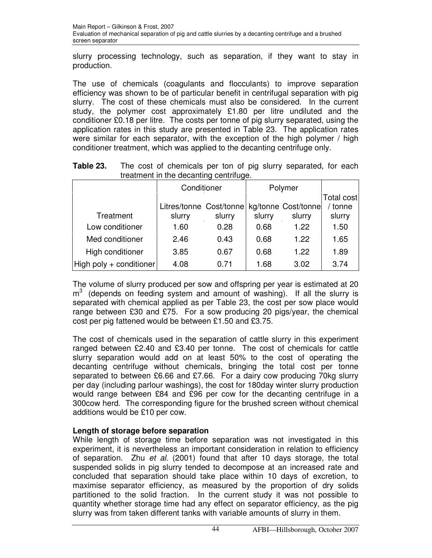slurry processing technology, such as separation, if they want to stay in production.

The use of chemicals (coagulants and flocculants) to improve separation efficiency was shown to be of particular benefit in centrifugal separation with pig slurry. The cost of these chemicals must also be considered. In the current study, the polymer cost approximately £1.80 per litre undiluted and the conditioner £0.18 per litre. The costs per tonne of pig slurry separated, using the application rates in this study are presented in Table 23. The application rates were similar for each separator, with the exception of the high polymer / high conditioner treatment, which was applied to the decanting centrifuge only.

**Table 23.** The cost of chemicals per ton of pig slurry separated, for each treatment in the decanting centrifuge.

|                         | Conditioner             | ັ      |        | Polymer             |         |
|-------------------------|-------------------------|--------|--------|---------------------|---------|
|                         |                         |        |        | Total cost          |         |
|                         | Litres/tonne Cost/tonne |        |        | kg/tonne Cost/tonne | / tonne |
| Treatment               | slurry                  | slurry | slurry | slurry              | slurry  |
| Low conditioner         | 1.60                    | 0.28   | 0.68   | 1.22                | 1.50    |
| Med conditioner         | 2.46                    | 0.43   | 0.68   | 1.22                | 1.65    |
| High conditioner        | 3.85                    | 0.67   | 0.68   | 1.22                | 1.89    |
| High poly + conditioner | 4.08                    | 0.71   | 1.68   | 3.02                | 3.74    |

The volume of slurry produced per sow and offspring per year is estimated at 20  $m<sup>3</sup>$  (depends on feeding system and amount of washing). If all the slurry is separated with chemical applied as per Table 23, the cost per sow place would range between £30 and £75. For a sow producing 20 pigs/year, the chemical cost per pig fattened would be between £1.50 and £3.75.

The cost of chemicals used in the separation of cattle slurry in this experiment ranged between £2.40 and £3.40 per tonne. The cost of chemicals for cattle slurry separation would add on at least 50% to the cost of operating the decanting centrifuge without chemicals, bringing the total cost per tonne separated to between £6.66 and £7.66. For a dairy cow producing 70kg slurry per day (including parlour washings), the cost for 180day winter slurry production would range between £84 and £96 per cow for the decanting centrifuge in a 300cow herd. The corresponding figure for the brushed screen without chemical additions would be £10 per cow.

# **Length of storage before separation**

While length of storage time before separation was not investigated in this experiment, it is nevertheless an important consideration in relation to efficiency of separation. Zhu *et al.* (2001) found that after 10 days storage, the total suspended solids in pig slurry tended to decompose at an increased rate and concluded that separation should take place within 10 days of excretion, to maximise separator efficiency, as measured by the proportion of dry solids partitioned to the solid fraction. In the current study it was not possible to quantity whether storage time had any effect on separator efficiency, as the pig slurry was from taken different tanks with variable amounts of slurry in them.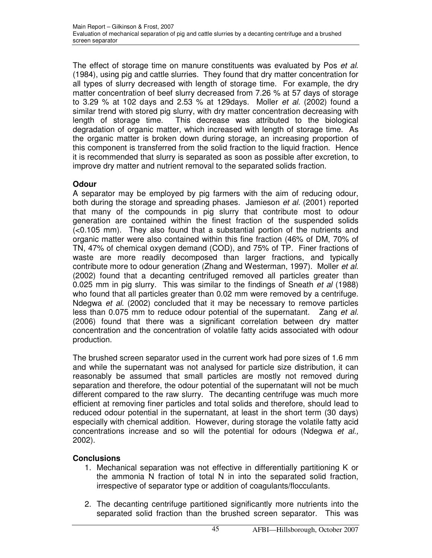The effect of storage time on manure constituents was evaluated by Pos et al. (1984), using pig and cattle slurries. They found that dry matter concentration for all types of slurry decreased with length of storage time. For example, the dry matter concentration of beef slurry decreased from 7.26 % at 57 days of storage to 3.29 % at 102 days and 2.53 % at 129days. Moller et al. (2002) found a similar trend with stored pig slurry, with dry matter concentration decreasing with length of storage time. This decrease was attributed to the biological degradation of organic matter, which increased with length of storage time. As the organic matter is broken down during storage, an increasing proportion of this component is transferred from the solid fraction to the liquid fraction. Hence it is recommended that slurry is separated as soon as possible after excretion, to improve dry matter and nutrient removal to the separated solids fraction.

# **Odour**

A separator may be employed by pig farmers with the aim of reducing odour, both during the storage and spreading phases. Jamieson et al. (2001) reported that many of the compounds in pig slurry that contribute most to odour generation are contained within the finest fraction of the suspended solids (<0.105 mm). They also found that a substantial portion of the nutrients and organic matter were also contained within this fine fraction (46% of DM, 70% of TN, 47% of chemical oxygen demand (COD), and 75% of TP. Finer fractions of waste are more readily decomposed than larger fractions, and typically contribute more to odour generation (Zhang and Westerman, 1997). Moller et al. (2002) found that a decanting centrifuged removed all particles greater than 0.025 mm in pig slurry. This was similar to the findings of Sneath *et al* (1988) who found that all particles greater than 0.02 mm were removed by a centrifuge. Ndegwa et al. (2002) concluded that it may be necessary to remove particles less than 0.075 mm to reduce odour potential of the supernatant. Zang et al. (2006) found that there was a significant correlation between dry matter concentration and the concentration of volatile fatty acids associated with odour production.

The brushed screen separator used in the current work had pore sizes of 1.6 mm and while the supernatant was not analysed for particle size distribution, it can reasonably be assumed that small particles are mostly not removed during separation and therefore, the odour potential of the supernatant will not be much different compared to the raw slurry. The decanting centrifuge was much more efficient at removing finer particles and total solids and therefore, should lead to reduced odour potential in the supernatant, at least in the short term (30 days) especially with chemical addition. However, during storage the volatile fatty acid concentrations increase and so will the potential for odours (Ndegwa et al., 2002).

# **Conclusions**

- 1. Mechanical separation was not effective in differentially partitioning K or the ammonia N fraction of total N in into the separated solid fraction, irrespective of separator type or addition of coagulants/flocculants.
- 2. The decanting centrifuge partitioned significantly more nutrients into the separated solid fraction than the brushed screen separator. This was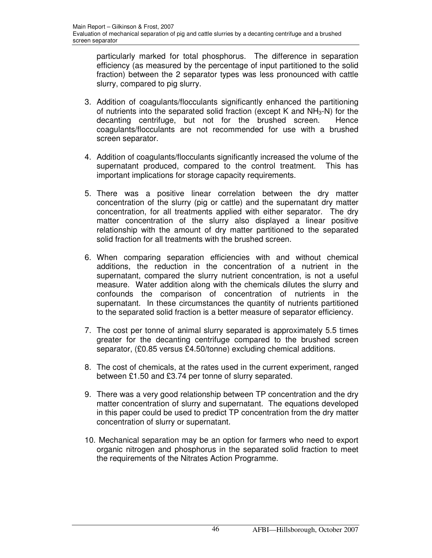particularly marked for total phosphorus. The difference in separation efficiency (as measured by the percentage of input partitioned to the solid fraction) between the 2 separator types was less pronounced with cattle slurry, compared to pig slurry.

- 3. Addition of coagulants/flocculants significantly enhanced the partitioning of nutrients into the separated solid fraction (except K and  $NH<sub>3</sub>-N$ ) for the decanting centrifuge, but not for the brushed screen. Hence coagulants/flocculants are not recommended for use with a brushed screen separator.
- 4. Addition of coagulants/flocculants significantly increased the volume of the supernatant produced, compared to the control treatment. This has important implications for storage capacity requirements.
- 5. There was a positive linear correlation between the dry matter concentration of the slurry (pig or cattle) and the supernatant dry matter concentration, for all treatments applied with either separator. The dry matter concentration of the slurry also displayed a linear positive relationship with the amount of dry matter partitioned to the separated solid fraction for all treatments with the brushed screen.
- 6. When comparing separation efficiencies with and without chemical additions, the reduction in the concentration of a nutrient in the supernatant, compared the slurry nutrient concentration, is not a useful measure. Water addition along with the chemicals dilutes the slurry and confounds the comparison of concentration of nutrients in the supernatant. In these circumstances the quantity of nutrients partitioned to the separated solid fraction is a better measure of separator efficiency.
- 7. The cost per tonne of animal slurry separated is approximately 5.5 times greater for the decanting centrifuge compared to the brushed screen separator, (£0.85 versus £4.50/tonne) excluding chemical additions.
- 8. The cost of chemicals, at the rates used in the current experiment, ranged between £1.50 and £3.74 per tonne of slurry separated.
- 9. There was a very good relationship between TP concentration and the dry matter concentration of slurry and supernatant. The equations developed in this paper could be used to predict TP concentration from the dry matter concentration of slurry or supernatant.
- 10. Mechanical separation may be an option for farmers who need to export organic nitrogen and phosphorus in the separated solid fraction to meet the requirements of the Nitrates Action Programme.